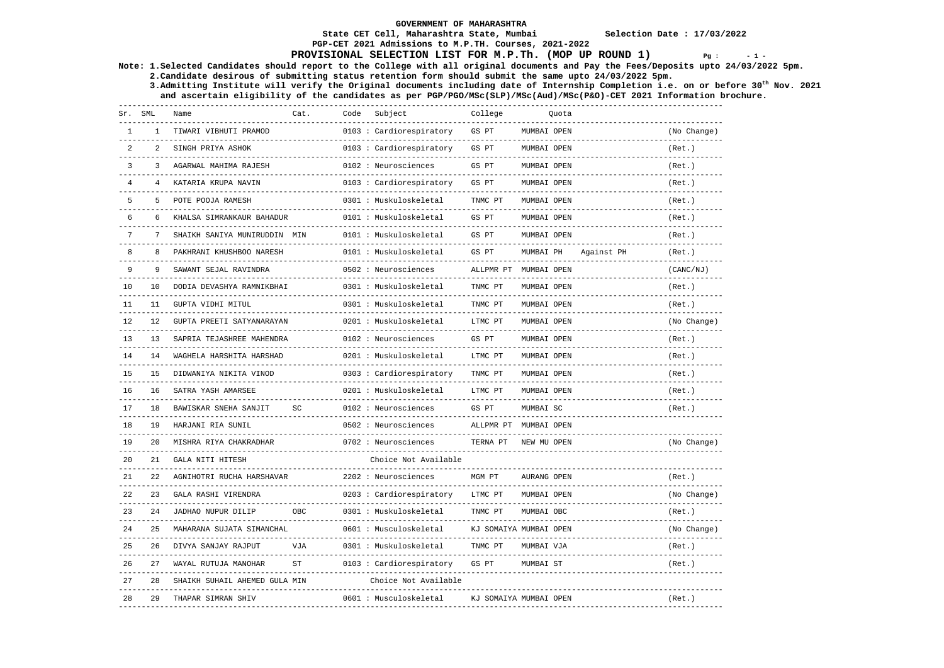**PGP-CET 2021 Admissions to M.P.TH. Courses, 2021-2022** 

### **State CET Cell, Maharashtra State, Mumbai Selection Date : 17/03/2022**

## **PROVISIONAL SELECTION LIST FOR M.P.Th. (MOP UP ROUND 1)**  $Pg : 1 - 1 - 1$

**Note: 1.Selected Candidates should report to the College with all original documents and Pay the Fees/Deposits upto 24/03/2022 5pm. 2.Candidate desirous of submitting status retention form should submit the same upto 24/03/2022 5pm.** 

 **3.Admitting Institute will verify the Original documents including date of Internship Completion i.e. on or before 30th Nov. 2021 and ascertain eligibility of the candidates as per PGP/PGO/MSc(SLP)/MSc(Aud)/MSc(P&O)-CET 2021 Information brochure.** 

| Sr.            | SML  | Name                                                   | Cat.      | Code | Subject                                   | College   | Ouota                  |            |             |
|----------------|------|--------------------------------------------------------|-----------|------|-------------------------------------------|-----------|------------------------|------------|-------------|
|                |      | TIWARI VIBHUTI PRAMOD<br>-------------                 |           |      | 0103 : Cardiorespiratory                  | GS PT     | MUMBAI OPEN            |            | (No Change) |
| 2              | 2    | SINGH PRIYA ASHOK                                      |           |      | 0103 : Cardiorespiratory                  | GS PT     | MUMBAI OPEN            |            | (Ret.)      |
| $\overline{3}$ | 3    | AGARWAL MAHIMA RAJESH                                  |           |      | 0102 : Neurosciences                      | GS PT     | MUMBAI OPEN            |            | (Ret.)      |
| $\overline{4}$ |      | KATARIA KRUPA NAVIN<br>---------------                 |           |      | 0103 : Cardiorespiratory                  | GS PT     | MUMBAI OPEN            |            | (Ret.)      |
| 5              | 5    | POTE POOJA RAMESH                                      |           |      | 0301 : Muskuloskeletal                    | TNMC PT   | MUMBAI OPEN            |            | (Ret.)      |
| 6              | 6    | KHALSA SIMRANKAUR BAHADUR                              |           |      | 0101 : Muskuloskeletal                    | GS PT     | MUMBAI OPEN            |            | (Ret.)      |
| 7              |      | SHAIKH SANIYA MUNIRUDDIN MIN                           |           |      | 0101 : Muskuloskeletal                    | GS PT     | MUMBAI OPEN            |            | (Ret.)      |
| 8              | 8    | PAKHRANI KHUSHBOO NARESH                               |           |      | 0101 : Muskuloskeletal                    | GS PT     | MUMBAI PH              | Against PH | (Ret. )     |
| 9              | 9    | SAWANT SEJAL RAVINDRA                                  |           |      | 0502 : Neurosciences                      | ALLPMR PT | MUMBAI OPEN            |            | (CANC/NJ)   |
| 10             | 10   | DODIA DEVASHYA RAMNIKBHAI                              |           |      | 0301 : Muskuloskeletal                    | TNMC PT   | MUMBAI OPEN            |            | (Ret.)      |
| 11             | 11   | GUPTA VIDHI MITUL                                      |           |      | 0301 : Muskuloskeletal                    | TNMC PT   | MUMBAI OPEN            |            | (Ret. )     |
| 12             | 12.  | GUPTA PREETI SATYANARAYAN                              |           |      | 0201 : Muskuloskeletal                    | LTMC PT   | MUMBAI OPEN            |            | (No Change) |
| 13             | 13   | SAPRIA TEJASHREE MAHENDRA<br>_________________________ |           |      | 0102 : Neurosciences                      | GS PT     | MUMBAI OPEN            |            | (Ret.)      |
| 14             | 14   | WAGHELA HARSHITA HARSHAD<br>------------------         |           |      | 0201 : Muskuloskeletal<br>--------------- | LTMC PT   | MUMBAI OPEN            |            | (Ret. )     |
| 15             | 15   | DIDWANIYA NIKITA VINOD<br>------------------           |           |      | 0303 : Cardiorespiratory                  | TNMC PT   | MUMBAI OPEN            |            | (Ret.)      |
| 16             | 16   | SATRA YASH AMARSEE                                     |           |      | 0201 : Muskuloskeletal                    | LTMC PT   | MUMBAI OPEN            |            | (Ret.)      |
| 17             | 18   | BAWISKAR SNEHA SANJIT                                  | SC        |      | 0102 : Neurosciences                      | GS PT     | MUMBAI SC              |            | (Ret.)      |
| 18             | 19   | HARJANI RIA SUNIL                                      |           |      | 0502 : Neurosciences                      | ALLPMR PT | MUMBAI OPEN            |            | $- - - - -$ |
| 19             | 20   | MISHRA RIYA CHAKRADHAR                                 |           |      | 0702 : Neurosciences                      | TERNA PT  | NEW MU OPEN            |            | (No Change) |
| 20             | 21   | GALA NITI HITESH                                       |           |      | Choice Not Available                      |           |                        |            |             |
| 21             | 2.2. | AGNIHOTRI RUCHA HARSHAVAR                              |           |      | 2202 : Neurosciences                      | MGM PT    | AURANG OPEN            |            | (Ret.)      |
| 22             | 23   | GALA RASHI VIRENDRA                                    |           |      | 0203: Cardiorespiratory                   | LTMC PT   | MUMBAI OPEN            |            | (No Change) |
| 2.3            | 24   | JADHAO NUPUR DILIP                                     | OBC       |      | 0301 : Muskuloskeletal                    | TNMC PT   | MUMBAI OBC             |            | (Ret.)      |
| 2.4            | 2.5  | MAHARANA SUJATA SIMANCHAL                              |           |      | 0601 : Musculoskeletal                    |           | KJ SOMAIYA MUMBAI OPEN |            | (No Change) |
| 25             | 26   | DIVYA SANJAY RAJPUT                                    | VJA       |      | 0301 : Muskuloskeletal                    | TNMC PT   | MUMBAI VJA             |            | (Ret.)      |
| 26             | 27   | WAYAL RUTUJA MANOHAR                                   | <b>ST</b> |      | 0103 : Cardiorespiratory                  | GS PT     | MUMBAI ST              |            | (Ret.)      |
| 2.7            | 2.8  | SHAIKH SUHAIL AHEMED GULA MIN                          |           |      | Choice Not Available                      |           |                        |            |             |
| 28             | 29   | THAPAR SIMRAN SHIV                                     |           |      | 0601 : Musculoskeletal                    |           | KJ SOMAIYA MUMBAI OPEN |            | (Ret.)      |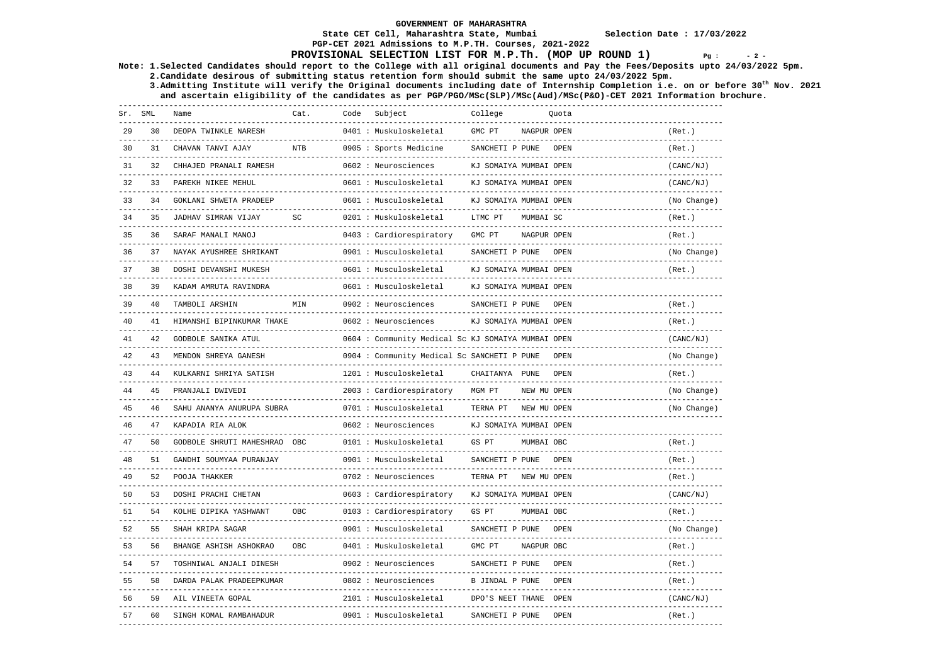### **State CET Cell, Maharashtra State, Mumbai Selection Date : 17/03/2022**

# **PGP-CET 2021 Admissions to M.P.TH. Courses, 2021-2022**

## **PROVISIONAL SELECTION LIST FOR M.P.Th. (MOP UP ROUND 1)**  $Pg : 2 - 2$

**Note: 1.Selected Candidates should report to the College with all original documents and Pay the Fees/Deposits upto 24/03/2022 5pm. 2.Candidate desirous of submitting status retention form should submit the same upto 24/03/2022 5pm.** 

 **3.Admitting Institute will verify the Original documents including date of Internship Completion i.e. on or before 30th Nov. 2021 and ascertain eligibility of the candidates as per PGP/PGO/MSc(SLP)/MSc(Aud)/MSc(P&O)-CET 2021 Information brochure.** 

| Sr. SML |    | Name                         | Cat.       | Code | Subject                                           | College                |             | Ouota       |             |
|---------|----|------------------------------|------------|------|---------------------------------------------------|------------------------|-------------|-------------|-------------|
| 29      | 30 | DEOPA TWINKLE NARESH         |            |      | 0401 : Muskuloskeletal                            | GMC PT                 | NAGPUR OPEN |             | (Ret.)      |
| 30      | 31 | CHAVAN TANVI AJAY            | <b>NTB</b> |      | 0905 : Sports Medicine                            | SANCHETI P PUNE        |             | <b>OPEN</b> | (Ret.)      |
| 31      | 32 | CHHAJED PRANALI RAMESH       |            |      | 0602 : Neurosciences                              | KJ SOMAIYA MUMBAI OPEN |             |             | (CANC/NJ)   |
| 32      | 33 | PAREKH NIKEE MEHUL           |            |      | 0601 : Musculoskeletal                            | KJ SOMAIYA MUMBAI OPEN |             |             | (CANC/NJ)   |
| 33      | 34 | GOKLANI SHWETA PRADEEP       |            |      | 0601 : Musculoskeletal                            | KJ SOMAIYA MUMBAI OPEN |             |             | (No Change) |
| 34      | 35 | JADHAV SIMRAN VIJAY          | SC         |      | 0201 : Muskuloskeletal                            | LTMC PT                | MUMBAI SC   |             | (Ret.)      |
| 35      | 36 | SARAF MANALI MANOJ           |            |      | 0403 : Cardiorespiratory                          | GMC PT                 | NAGPUR OPEN |             | (Ret.)      |
| 36      | 37 | NAYAK AYUSHREE SHRIKANT      |            |      | 0901 : Musculoskeletal                            | SANCHETI P PUNE        |             | <b>OPEN</b> | (No Change) |
| 37      | 38 | DOSHI DEVANSHI MUKESH        |            |      | 0601 : Musculoskeletal                            | KJ SOMAIYA MUMBAI OPEN |             |             | (Ret.)      |
| 38      | 39 | KADAM AMRUTA RAVINDRA        |            |      | 0601 : Musculoskeletal                            | KJ SOMAIYA MUMBAI OPEN |             |             |             |
| 39      | 40 | TAMBOLI ARSHIN               | MIN        |      | 0902 : Neurosciences                              | SANCHETI P PUNE        |             | OPEN        | (Ret.)      |
| 40      | 41 | HIMANSHI BIPINKUMAR THAKE    |            |      | 0602 : Neurosciences                              | KJ SOMAIYA MUMBAI OPEN |             |             | (Ret.)      |
| 41      | 42 | <b>GODBOLE SANIKA ATUL</b>   |            |      | 0604: Community Medical Sc KJ SOMAIYA MUMBAI OPEN |                        |             |             | (CANC/NJ)   |
| 42      | 43 | MENDON SHREYA GANESH         |            |      | 0904 : Community Medical Sc SANCHETI P PUNE       |                        |             | OPEN        | (No Change) |
| 43      | 44 | KULKARNI SHRIYA SATISH       |            |      | 1201 : Musculoskeletal                            | CHAITANYA PUNE         |             | OPEN        | (Ret.)      |
| 44      | 45 | PRANJALI DWIVEDI             |            |      | 2003 : Cardiorespiratory                          | MGM PT                 | NEW MU OPEN |             | (No Change) |
| 45      | 46 | SAHU ANANYA ANURUPA SUBRA    |            |      | 0701 : Musculoskeletal                            | TERNA PT               | NEW MU OPEN |             | (No Change) |
| 46      | 47 | KAPADIA RIA ALOK             |            |      | 0602 : Neurosciences                              | KJ SOMAIYA MUMBAI OPEN |             |             |             |
| 47      | 50 | GODBOLE SHRUTI MAHESHRAO OBC |            |      | 0101 : Muskuloskeletal                            | GS PT                  | MUMBAI OBC  |             | (Ret.)      |
| 48      | 51 | GANDHI SOUMYAA PURANJAY      |            |      | 0901 : Musculoskeletal                            | SANCHETI P PUNE        |             | OPEN        | (Ret.)      |
| 49      | 52 | POOJA THAKKER                |            |      | 0702 : Neurosciences                              | TERNA PT               | NEW MU OPEN |             | (Ret.)      |
| 50      | 53 | DOSHI PRACHI CHETAN          |            |      | 0603 : Cardiorespiratory                          | KJ SOMAIYA MUMBAI OPEN |             |             | (CANC/NJ)   |
| 51      | 54 | KOLHE DIPIKA YASHWANT        | OBC        |      | 0103 : Cardiorespiratory                          | GS PT                  | MUMBAI OBC  |             | (Ret.)      |
| 52      | 55 | SHAH KRIPA SAGAR             |            |      | 0901 : Musculoskeletal                            | SANCHETI P PUNE        |             | OPEN        | (No Change) |
| 53      | 56 | BHANGE ASHISH ASHOKRAO       | OBC        |      | 0401 : Muskuloskeletal                            | GMC PT                 | NAGPUR OBC  |             | (Ret.)      |
| 54      | 57 | TOSHNIWAL ANJALI DINESH      |            |      | 0902 : Neurosciences                              | SANCHETI P PUNE        |             | <b>OPEN</b> | (Ret.)      |
| 55      | 58 | DARDA PALAK PRADEEPKUMAR     |            |      | 0802 : Neurosciences                              | B JINDAL P PUNE        |             | OPEN        | (Ret.)      |
| 56      | 59 | AIL VINEETA GOPAL            |            |      | 2101 : Musculoskeletal                            | DPO'S NEET THANE       |             | OPEN        | (CANC/NJ)   |
| 57      | 60 | SINGH KOMAL RAMBAHADUR       |            |      | 0901 : Musculoskeletal                            | SANCHETI P PUNE        |             | OPEN        | (Ret.)      |
|         |    |                              |            |      |                                                   |                        |             |             |             |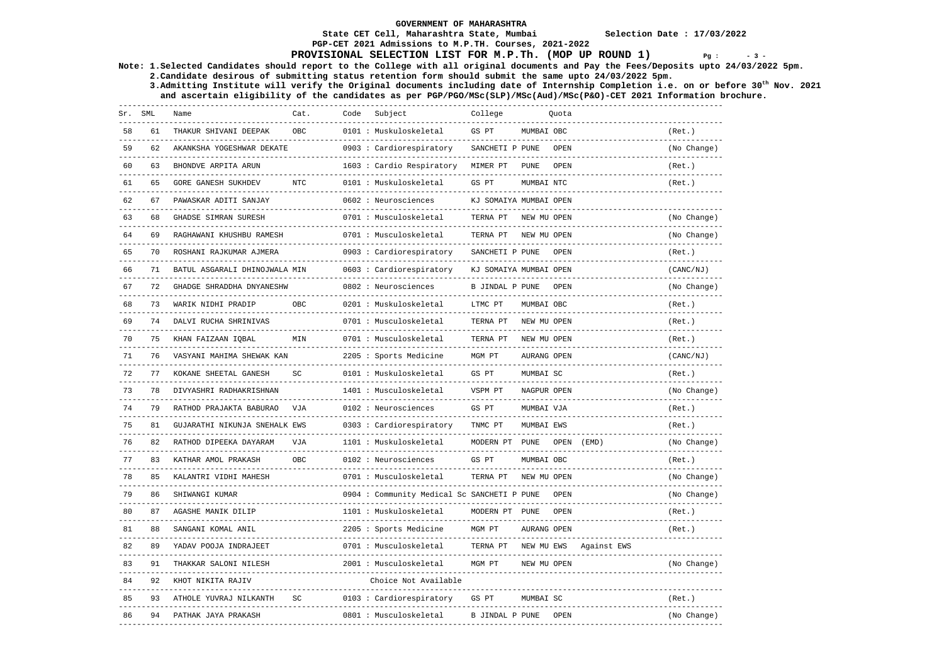### **State CET Cell, Maharashtra State, Mumbai Selection Date : 17/03/2022 PGP-CET 2021 Admissions to M.P.TH. Courses, 2021-2022**

### **PROVISIONAL SELECTION LIST FOR M.P.Th. (MOP UP ROUND 1)**  $Pg : 3 - 3$

**Note: 1.Selected Candidates should report to the College with all original documents and Pay the Fees/Deposits upto 24/03/2022 5pm. 2.Candidate desirous of submitting status retention form should submit the same upto 24/03/2022 5pm.** 

 **3.Admitting Institute will verify the Original documents including date of Internship Completion i.e. on or before 30th Nov. 2021 and ascertain eligibility of the candidates as per PGP/PGO/MSc(SLP)/MSc(Aud)/MSc(P&O)-CET 2021 Information brochure.** 

| Sr. SML |    | Name                          | Cat.       | Code | Subject                                                       | College                     |             | Quota |                          |                             |
|---------|----|-------------------------------|------------|------|---------------------------------------------------------------|-----------------------------|-------------|-------|--------------------------|-----------------------------|
| 58      | 61 | THAKUR SHIVANI DEEPAK         | OBC        |      | 0101 : Muskuloskeletal<br>______________________              | GS PT                       | MUMBAI OBC  |       |                          | (Ret.)                      |
| 59      | 62 | AKANKSHA YOGESHWAR DEKATE     |            |      | 0903 : Cardiorespiratory                                      | SANCHETI P PUNE             |             | OPEN  |                          | (No Change)                 |
| 60      | 63 | BHONDVE ARPITA ARUN           |            |      | 1603 : Cardio Respiratory                                     | MIMER PT                    | <b>PUNE</b> | OPEN  |                          | (Ret.)                      |
| 61      | 65 | <b>GORE GANESH SUKHDEV</b>    | <b>NTC</b> |      | 0101 : Muskuloskeletal                                        | GS PT                       | MUMBAI NTC  |       |                          | (Ret.)                      |
| 62      | 67 | PAWASKAR ADITI SANJAY         |            |      | 0602 : Neurosciences                                          | KJ SOMAIYA MUMBAI OPEN      |             |       |                          |                             |
| 63      | 68 | GHADSE SIMRAN SURESH          |            |      | 0701 : Musculoskeletal                                        | TERNA PT                    | NEW MU OPEN |       |                          | (No Change)                 |
| 64      | 69 | RAGHAWANI KHUSHBU RAMESH      |            |      | 0701 : Musculoskeletal                                        | TERNA PT                    | NEW MU OPEN |       |                          | (No Change)                 |
| 65      | 70 | ROSHANI RAJKUMAR AJMERA       |            |      | 0903 : Cardiorespiratory                                      | SANCHETI P PUNE             |             | OPEN  |                          | (Ret.)                      |
| 66      | 71 | BATUL ASGARALI DHINOJWALA MIN |            |      | 0603 : Cardiorespiratory                                      | KJ SOMAIYA MUMBAI OPEN      |             |       |                          | (CANC/NJ)<br>-----------    |
| 67      | 72 | GHADGE SHRADDHA DNYANESHW     |            |      | 0802 : Neurosciences                                          | B JINDAL P PUNE             |             | OPEN  |                          | (No Change)                 |
| 68      | 73 | WARIK NIDHI PRADIP            | OBC        |      | 0201 : Muskuloskeletal<br>--------------                      | LTMC PT                     | MUMBAI OBC  |       |                          | (Ret.)                      |
| 69      | 74 | DALVI RUCHA SHRINIVAS         |            |      | 0701 : Musculoskeletal                                        | TERNA PT                    | NEW MU OPEN |       |                          | (Ret. )                     |
| 70      | 75 | KHAN FAIZAAN IQBAL            | MIN        |      | 0701 : Musculoskeletal<br>. _ _ _ _ _ _ _ _ _ _ _ _ _ _ _ _ _ | TERNA PT                    | NEW MU OPEN |       |                          | (Ret.)                      |
| 71      | 76 | VASYANI MAHIMA SHEWAK KAN     |            |      | 2205 : Sports Medicine                                        | MGM PT                      | AURANG OPEN |       |                          | (CANC/NJ)                   |
| 72      | 77 | KOKANE SHEETAL GANESH         | SC         |      | 0101 : Muskuloskeletal                                        | GS PT                       | MUMBAI SC   |       |                          | (Ret.)                      |
| 73      | 78 | DIVYASHRI RADHAKRISHNAN       |            |      | 1401 : Musculoskeletal                                        | VSPM PT                     | NAGPUR OPEN |       |                          | (No Change)                 |
| 74      | 79 | RATHOD PRAJAKTA BABURAO       | VJA        |      | 0102 : Neurosciences                                          | GS PT                       | MUMBAI VJA  |       |                          | (Ret.)                      |
| 75      | 81 | GUJARATHI NIKUNJA SNEHALK EWS |            |      | 0303 : Cardiorespiratory                                      | TNMC PT                     | MUMBAI EWS  |       |                          | (Ret.)                      |
| 76      | 82 | RATHOD DIPEEKA DAYARAM        | VJA        |      | 1101 : Muskuloskeletal<br>---------------                     | MODERN PT PUNE              |             | OPEN  | (EMD)                    | (No Change)                 |
| 77      | 83 | KATHAR AMOL PRAKASH           | OBC        |      | 0102 : Neurosciences                                          | GS PT                       | MUMBAI OBC  |       |                          | (Ret.)                      |
| 78      | 85 | KALANTRI VIDHI MAHESH         |            |      | 0701 : Musculoskeletal                                        | TERNA PT                    | NEW MU OPEN |       |                          | (No Change)<br>------------ |
| 79      | 86 | SHIWANGI KUMAR                |            |      | 0904 : Community Medical Sc SANCHETI P PUNE                   |                             |             | OPEN  |                          | (No Change)                 |
| 80      | 87 | AGASHE MANIK DILIP            |            |      | 1101 : Muskuloskeletal                                        | MODERN PT PUNE              |             | OPEN  |                          | (Ret.)                      |
| 81      | 88 | SANGANI KOMAL ANIL            |            |      | 2205 : Sports Medicine                                        | MGM PT                      | AURANG OPEN |       |                          | (Ret.)                      |
| 82      | 89 | YADAV POOJA INDRAJEET         |            |      | 0701 : Musculoskeletal                                        | TERNA PT                    | NEW MU EWS  |       | Against EWS              |                             |
| 83      | 91 | THAKKAR SALONI NILESH         |            |      | 2001 : Musculoskeletal                                        | MGM PT                      | NEW MU OPEN |       |                          | (No Change)                 |
| 84      | 92 | KHOT NIKITA RAJIV             |            |      | Choice Not Available                                          | --------------------------- |             |       | ------------------------ |                             |
| 85      | 93 | ATHOLE YUVRAJ NILKANTH        | SC         |      | 0103 : Cardiorespiratory                                      | GS PT                       | MUMBAI SC   |       |                          | (Ret.)                      |
| 86      | 94 | PATHAK JAYA PRAKASH           |            |      | 0801 : Musculoskeletal                                        | B JINDAL P PUNE             |             | OPEN  |                          | (No Change)                 |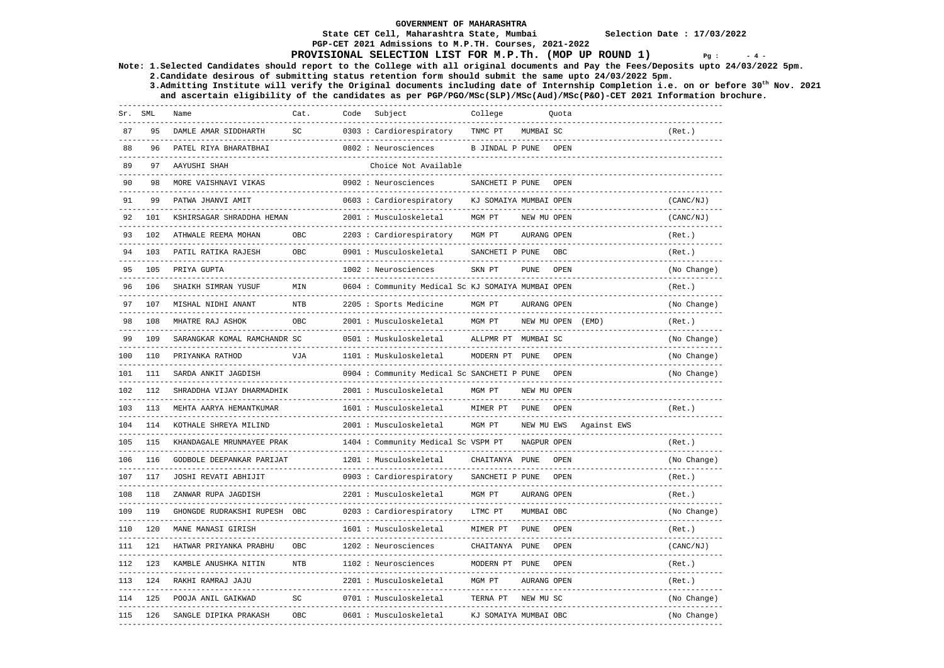### **State CET Cell, Maharashtra State, Mumbai Selection Date : 17/03/2022 PGP-CET 2021 Admissions to M.P.TH. Courses, 2021-2022**

## **PROVISIONAL SELECTION LIST FOR M.P.Th. (MOP UP ROUND 1)**  $Pg : 4 - 4$

**Note: 1.Selected Candidates should report to the College with all original documents and Pay the Fees/Deposits upto 24/03/2022 5pm.** 

 **2.Candidate desirous of submitting status retention form should submit the same upto 24/03/2022 5pm. 3.Admitting Institute will verify the Original documents including date of Internship Completion i.e. on or before 30th Nov. 2021 and ascertain eligibility of the candidates as per PGP/PGO/MSc(SLP)/MSc(Aud)/MSc(P&O)-CET 2021 Information brochure.** 

| Sr. SML |     | Name                         | Cat.                            | Code | Subject                                                   | College                |                   | Ouota |                                  |                                                    |
|---------|-----|------------------------------|---------------------------------|------|-----------------------------------------------------------|------------------------|-------------------|-------|----------------------------------|----------------------------------------------------|
| 87      | 95  | DAMLE AMAR SIDDHARTH         | $\operatorname{SC}$<br>-------- |      | 0303 : Cardiorespiratory<br>----------------------------- | TNMC PT                | MUMBAI SC         |       |                                  | (Ret.)                                             |
| 88      | 96  | PATEL RIYA BHARATBHAI        |                                 |      | 0802 : Neurosciences                                      | B JINDAL P PUNE        |                   | OPEN  |                                  |                                                    |
| 89      | 97  | AAYUSHI SHAH                 |                                 |      | Choice Not Available<br>-------------------------         |                        |                   |       |                                  |                                                    |
| 90      |     | MORE VAISHNAVI VIKAS         |                                 |      | 0902 : Neurosciences<br>-----------------------           | SANCHETI P PUNE        |                   | OPEN  |                                  |                                                    |
| 91      | 99  | PATWA JHANVI AMIT            |                                 |      | 0603 : Cardiorespiratory                                  | KJ SOMAIYA MUMBAI OPEN |                   |       |                                  | (CANC/NJ)<br>. _ _ _ _ _ _ _ _ _ _ _ _ _ _ _ _     |
|         | 101 | KSHIRSAGAR SHRADDHA HEMAN    |                                 |      | 2001 : Musculoskeletal<br>-----------------------         | MGM PT                 | NEW MU OPEN       |       |                                  | (CANC/NJ)                                          |
| 93      | 102 | ATHWALE REEMA MOHAN          | OBC                             |      | 2203 : Cardiorespiratory                                  | MGM PT                 | AURANG OPEN       |       |                                  | (Ret.)                                             |
|         | 103 | PATIL RATIKA RAJESH          | OBC                             |      | 0901 : Musculoskeletal                                    | SANCHETI P PUNE        |                   | OBC   |                                  | (Ret.)                                             |
| 95      | 105 | PRIYA GUPTA                  |                                 |      | 1002 : Neurosciences                                      | SKN PT                 | <b>PUNE</b>       | OPEN  |                                  | (No Change)<br>. _ _ _ _ _ _ _ _ _ _ _ _ _ _ _ _ _ |
| 96      | 106 | SHAIKH SIMRAN YUSUF          | MIN                             |      | 0604: Community Medical Sc KJ SOMAIYA MUMBAI OPEN         |                        |                   |       |                                  | (Ret.)                                             |
| 97      | 107 | MISHAL NIDHI ANANT           | $_{\rm NTB}$<br>$- - - - -$     |      | 2205 : Sports Medicine                                    | MGM PT                 | AURANG OPEN       |       |                                  | (No Change)                                        |
| 98      | 108 | MHATRE RAJ ASHOK             | OBC                             |      | 2001 : Musculoskeletal                                    | MGM PT                 | NEW MU OPEN (EMD) |       |                                  | (Ret.)                                             |
| 99      | 109 | SARANGKAR KOMAL RAMCHANDR SC |                                 |      | 0501 : Muskuloskeletal                                    | ALLPMR PT MUMBAI SC    |                   |       | -------------------------------- | (No Change)                                        |
| 100     | 110 | PRIYANKA RATHOD              | VJA                             |      | 1101 : Muskuloskeletal                                    | MODERN PT PUNE         |                   | OPEN  |                                  | (No Change)                                        |
| 101     | 111 | SARDA ANKIT JAGDISH          |                                 |      | 0904 : Community Medical Sc SANCHETI P PUNE               |                        |                   | OPEN  |                                  | (No Change)                                        |
| 102     | 112 | SHRADDHA VIJAY DHARMADHIK    |                                 |      | 2001 : Musculoskeletal                                    | MGM PT                 | NEW MU OPEN       |       |                                  |                                                    |
| 103     | 113 | MEHTA AARYA HEMANTKUMAR      |                                 |      | 1601 : Musculoskeletal                                    | MIMER PT               | <b>PUNE</b>       | OPEN  |                                  | (Ret.)                                             |
| 104     | 114 | KOTHALE SHREYA MILIND        |                                 |      | 2001 : Musculoskeletal                                    | MGM PT                 | NEW MU EWS        |       | Against EWS                      |                                                    |
| 105     | 115 | KHANDAGALE MRUNMAYEE PRAK    |                                 |      | 1404 : Community Medical Sc VSPM PT                       |                        | NAGPUR OPEN       |       |                                  | (Ret.)                                             |
| 106     | 116 | GODBOLE DEEPANKAR PARIJAT    |                                 |      | 1201 : Musculoskeletal                                    | CHAITANYA PUNE         |                   | OPEN  |                                  | (No Change)                                        |
| 107     | 117 | JOSHI REVATI ABHIJIT         |                                 |      | 0903 : Cardiorespiratory                                  | SANCHETI P PUNE        |                   | OPEN  |                                  | (Ret.)                                             |
| 108     | 118 | ZANWAR RUPA JAGDISH          |                                 |      | 2201 : Musculoskeletal                                    | MGM PT                 | AURANG OPEN       |       |                                  | (Ret.)                                             |
| 109     | 119 | GHONGDE RUDRAKSHI RUPESH OBC |                                 |      | 0203 : Cardiorespiratory                                  | LTMC PT                | MUMBAI OBC        |       |                                  | (No Change)                                        |
| 110     | 120 | MANE MANASI GIRISH           |                                 |      | 1601 : Musculoskeletal                                    | MIMER PT               | PUNE.             | OPEN  |                                  | (Ret.)                                             |
| 111     | 121 | HATWAR PRIYANKA PRABHU       | OBC                             |      | 1202 : Neurosciences                                      | CHAITANYA PUNE         |                   | OPEN  |                                  | (CANC/NJ)                                          |
| 112     | 123 | KAMBLE ANUSHKA NITIN         | <b>NTB</b>                      |      | 1102 : Neurosciences                                      | MODERN PT PUNE         |                   | OPEN  |                                  | (Ret.)                                             |
| 113     | 124 | RAKHI RAMRAJ JAJU            |                                 |      | 2201 : Musculoskeletal                                    | MGM PT                 | AURANG OPEN       |       |                                  | (Ret.)                                             |
| 114     | 125 | POOJA ANIL GAIKWAD           | SC                              |      | 0701 : Musculoskeletal                                    | TERNA PT               | NEW MU SC         |       |                                  | (No Change)                                        |
| 115     | 126 | SANGLE DIPIKA PRAKASH        | <b>OBC</b>                      |      | 0601 : Musculoskeletal                                    | KJ SOMAIYA MUMBAI OBC  |                   |       |                                  | (No Change)                                        |
|         |     |                              |                                 |      |                                                           |                        |                   |       |                                  |                                                    |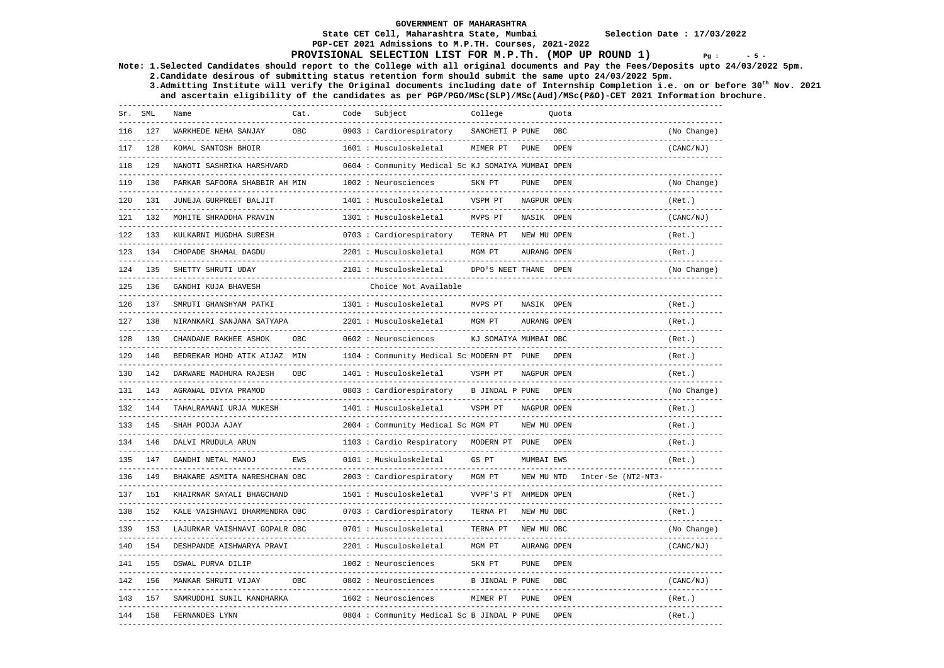# **PGP-CET 2021 Admissions to M.P.TH. Courses, 2021-2022**

## **PROVISIONAL SELECTION LIST FOR M.P.Th. (MOP UP ROUND 1)**  $Pg : S = 5 - 5$

**Note: 1.Selected Candidates should report to the College with all original documents and Pay the Fees/Deposits upto 24/03/2022 5pm. 2.Candidate desirous of submitting status retention form should submit the same upto 24/03/2022 5pm.** 

 **3.Admitting Institute will verify the Original documents including date of Internship Completion i.e. on or before 30th Nov. 2021 and ascertain eligibility of the candidates as per PGP/PGO/MSc(SLP)/MSc(Aud)/MSc(P&O)-CET 2021 Information brochure.** 

| Sr. | SML | Name                          | Cat.       | Code | Subject                                                 | College                |             | Ouota |                    |             |
|-----|-----|-------------------------------|------------|------|---------------------------------------------------------|------------------------|-------------|-------|--------------------|-------------|
| 116 | 127 | WARKHEDE NEHA SANJAY          | <b>OBC</b> |      | 0903 : Cardiorespiratory                                | SANCHETI P PUNE        |             | OBC.  |                    | (No Change) |
| 117 | 128 | KOMAL SANTOSH BHOIR           |            |      | 1601 : Musculoskeletal                                  | MIMER PT               | <b>PUNE</b> | OPEN  |                    | (CANC/NJ)   |
| 118 | 129 | NANOTI SASHRIKA HARSHVARD     |            |      | 0604 : Community Medical Sc KJ SOMAIYA MUMBAI OPEN      |                        |             |       |                    |             |
| 119 | 130 | PARKAR SAFOORA SHABBIR AH MIN |            |      | 1002 : Neurosciences                                    | SKN PT                 | <b>PUNE</b> | OPEN  |                    | (No Change) |
| 120 | 131 | JUNEJA GURPREET BALJIT        |            |      | 1401 : Musculoskeletal                                  | VSPM PT                | NAGPUR OPEN |       |                    | (Ret.)      |
| 121 | 132 | MOHITE SHRADDHA PRAVIN        |            |      | 1301 : Musculoskeletal                                  | MVPS PT                | NASIK OPEN  |       |                    | (CANC/NJ)   |
| 122 | 133 | KULKARNI MUGDHA SURESH        |            |      | 0703 : Cardiorespiratory                                | TERNA PT               | NEW MU OPEN |       |                    | (Ret.)      |
| 123 | 134 | CHOPADE SHAMAL DAGDU          |            |      | 2201 : Musculoskeletal<br>_______________________       | MGM PT                 | AURANG OPEN |       |                    | (Ret.)      |
| 124 | 135 | SHETTY SHRUTI UDAY            |            |      | 2101 : Musculoskeletal<br>----------------------------- | DPO'S NEET THANE OPEN  |             |       |                    | (No Change) |
| 125 | 136 | GANDHI KUJA BHAVESH           |            |      | Choice Not Available                                    |                        |             |       |                    |             |
| 126 | 137 | SMRUTI GHANSHYAM PATKI        |            |      | 1301 : Musculoskeletal                                  | MVPS PT                | NASIK OPEN  |       |                    | (Ret.)      |
| 127 | 138 | NIRANKARI SANJANA SATYAPA     |            |      | 2201 : Musculoskeletal                                  | MGM PT                 | AURANG OPEN |       |                    | (Ret.)      |
| 128 | 139 | CHANDANE RAKHEE ASHOK         | OBC:       |      | 0602 : Neurosciences                                    | KJ SOMAIYA MUMBAI OBC  |             |       |                    | (Ret.)      |
| 129 | 140 | BEDREKAR MOHD ATIK AIJAZ MIN  |            |      | 1104 : Community Medical Sc MODERN PT PUNE              |                        |             | OPEN  |                    | (Ret.)      |
| 130 | 142 | DARWARE MADHURA RAJESH        | OBC        |      | 1401 : Musculoskeletal                                  | VSPM PT                | NAGPUR OPEN |       |                    | (Ret.)      |
| 131 | 143 | AGRAWAL DIVYA PRAMOD          |            |      | 0803 : Cardiorespiratory                                | B JINDAL P PUNE        |             | OPEN  |                    | (No Change) |
| 132 | 144 | TAHALRAMANI URJA MUKESH       |            |      | 1401 : Musculoskeletal                                  | VSPM PT                | NAGPUR OPEN |       |                    | (Ret.)      |
| 133 | 145 | SHAH POOJA AJAY               |            |      | 2004 : Community Medical Sc MGM PT                      |                        | NEW MU OPEN |       |                    | (Ret.)      |
| 134 | 146 | DALVI MRUDULA ARUN            |            |      | 1103 : Cardio Respiratory                               | MODERN PT PUNE         |             | OPEN  |                    | (Ret.)      |
| 135 | 147 | GANDHI NETAL MANOJ            | <b>EWS</b> |      | 0101 : Muskuloskeletal                                  | GS PT                  | MUMBAI EWS  |       |                    | (Ret.)      |
| 136 | 149 | BHAKARE ASMITA NARESHCHAN OBC |            |      | 2003 : Cardiorespiratory                                | MGM PT                 | NEW MU NTD  |       | Inter-Se (NT2-NT3- |             |
| 137 | 151 | KHAIRNAR SAYALI BHAGCHAND     |            |      | 1501 : Musculoskeletal                                  | VVPF'S PT AHMEDN OPEN  |             |       |                    | (Ret.)      |
| 138 | 152 | KALE VAISHNAVI DHARMENDRA OBC |            |      | 0703 : Cardiorespiratory                                | TERNA PT               | NEW MU OBC  |       |                    | (Ret.)      |
| 139 | 153 | LAJURKAR VAISHNAVI GOPALR OBC |            |      | 0701 : Musculoskeletal                                  | TERNA PT               | NEW MU OBC  |       |                    | (No Change) |
| 140 | 154 | DESHPANDE AISHWARYA PRAVI     |            |      | 2201 : Musculoskeletal                                  | MGM PT                 | AURANG OPEN |       |                    | (CANC/NJ)   |
| 141 | 155 | OSWAL PURVA DILIP             |            |      | 1002 : Neurosciences                                    | SKN PT                 | PUNE.       | OPEN  |                    |             |
| 142 | 156 | MANKAR SHRUTI VIJAY           | <b>OBC</b> |      | 0802 : Neurosciences                                    | <b>B JINDAL P PUNE</b> |             | OBC   |                    | (CANC/NJ)   |
| 143 | 157 | SAMRUDDHI SUNIL KANDHARKA     |            |      | 1602 : Neurosciences                                    | MIMER PT               | <b>PUNE</b> | OPEN  |                    | (Ret.)      |
| 144 | 158 | FERNANDES LYNN                |            |      | 0804 : Community Medical Sc B JINDAL P PUNE             |                        |             | OPEN  |                    | (Ret.)      |
|     |     |                               |            |      |                                                         |                        |             |       |                    |             |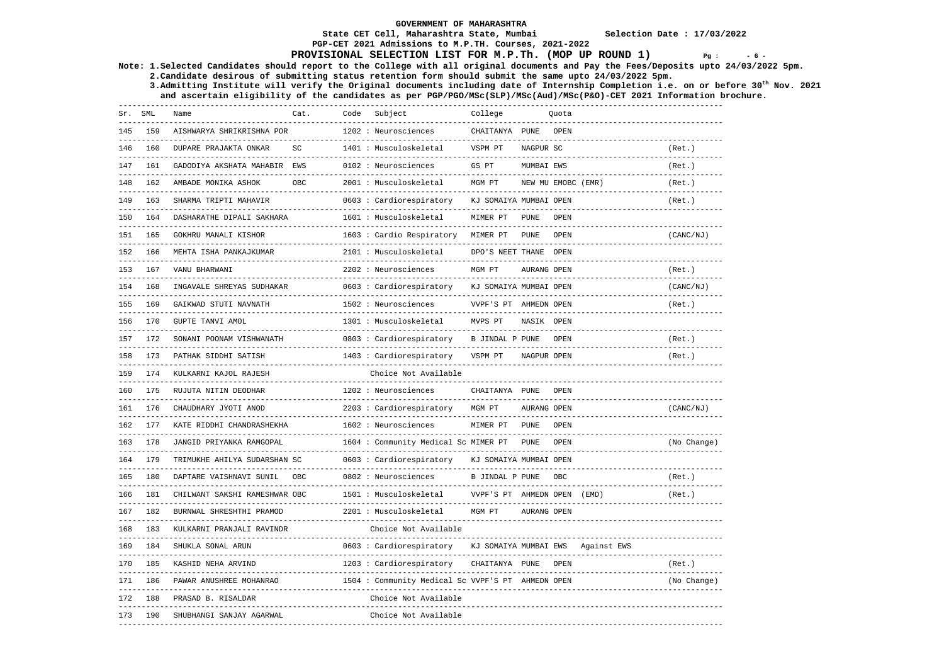**PGP-CET 2021 Admissions to M.P.TH. Courses, 2021-2022** 

### **State CET Cell, Maharashtra State, Mumbai Selection Date : 17/03/2022**

## **PROVISIONAL SELECTION LIST FOR M.P.Th. (MOP UP ROUND 1)**  $Pg : 6 - 6 - 6$

**Note: 1.Selected Candidates should report to the College with all original documents and Pay the Fees/Deposits upto 24/03/2022 5pm.** 

 **2.Candidate desirous of submitting status retention form should submit the same upto 24/03/2022 5pm. 3.Admitting Institute will verify the Original documents including date of Internship Completion i.e. on or before 30th Nov. 2021** 

 **and ascertain eligibility of the candidates as per PGP/PGO/MSc(SLP)/MSc(Aud)/MSc(P&O)-CET 2021 Information brochure.** 

| Sr. SML | ---------         | Name                                                        | Cat.                | Code | Subject                                                  | College                                             |                    | Ouota |             |                       |
|---------|-------------------|-------------------------------------------------------------|---------------------|------|----------------------------------------------------------|-----------------------------------------------------|--------------------|-------|-------------|-----------------------|
| 145     | 159               | AISHWARYA SHRIKRISHNA POR<br>------------------------------ |                     |      | 1202 : Neurosciences<br>------------------------         | CHAITANYA PUNE<br>-------------------------         |                    | OPEN  |             |                       |
| 146     | 160               | DUPARE PRAJAKTA ONKAR<br>-----------------------------      | $\operatorname{SC}$ |      | 1401 : Musculoskeletal<br>------------------------       | VSPM PT<br>--------------------                     | NAGPUR SC          |       |             | (Ret.)<br>----------- |
| 147     | 161               | GADODIYA AKSHATA MAHABIR EWS                                |                     |      | 0102 : Neurosciences                                     | GS PT                                               | MUMBAI EWS         |       |             | (Ret.)                |
| 148     | 162               | AMBADE MONIKA ASHOK                                         | OBC                 |      | 2001 : Musculoskeletal<br>----------------------------   | MGM PT                                              | NEW MU EMOBC (EMR) |       |             | (Ret.)                |
| 149     | 163               | SHARMA TRIPTI MAHAVIR                                       |                     |      | 0603 : Cardiorespiratory<br>---------------------------  | KJ SOMAIYA MUMBAI OPEN<br>------------------------- |                    |       |             | (Ret.)                |
| 150     | 164               | DASHARATHE DIPALI SAKHARA                                   |                     |      | 1601 : Musculoskeletal                                   | MIMER PT                                            | PUNE               | OPEN  |             |                       |
| 151     | 165               | GOKHRU MANALI KISHOR                                        |                     |      | 1603 : Cardio Respiratory                                | MIMER PT                                            | PUNE               | OPEN  |             | (CANC/NJ)             |
| 152     | 166               | MEHTA ISHA PANKAJKUMAR                                      |                     |      | 2101 : Musculoskeletal                                   | DPO'S NEET THANE OPEN                               |                    |       |             |                       |
| 153     | 167               | VANU BHARWANI                                               |                     |      | 2202 : Neurosciences                                     | MGM PT                                              | AURANG OPEN        |       |             | (Ret.)                |
|         | 168               | INGAVALE SHREYAS SUDHAKAR                                   |                     |      | 0603 : Cardiorespiratory                                 | KJ SOMAIYA MUMBAI OPEN                              |                    |       |             | (CANC/NJ)             |
| 155     | 169               | GAIKWAD STUTI NAVNATH                                       |                     |      | 1502 : Neurosciences<br>-------------------------------- | VVPF'S PT AHMEDN OPEN                               |                    |       |             | (Ret.)                |
| 156     | 170               | GUPTE TANVI AMOL                                            |                     |      | 1301 : Musculoskeletal                                   | MVPS PT                                             | NASIK OPEN         |       |             |                       |
| 157     | 172               | SONANI POONAM VISHWANATH                                    |                     |      | 0803 : Cardiorespiratory                                 | B JINDAL P PUNE                                     |                    | OPEN  |             | (Ret.)                |
| 158     | 173               | PATHAK SIDDHI SATISH                                        |                     |      | 1403 : Cardiorespiratory                                 | VSPM PT                                             | NAGPUR OPEN        |       |             | (Ret.)                |
| 159     | 174               | KULKARNI KAJOL RAJESH                                       |                     |      | Choice Not Available                                     |                                                     |                    |       |             |                       |
| 160     | 175               | RUJUTA NITIN DEODHAR                                        |                     |      | 1202 : Neurosciences                                     | CHAITANYA PUNE OPEN                                 |                    |       |             |                       |
| 161     | 176               | CHAUDHARY JYOTI ANOD                                        |                     |      | 2203 : Cardiorespiratory                                 | MGM PT                                              | AURANG OPEN        |       |             | (CANC/NJ)             |
| 162     | 177               | KATE RIDDHI CHANDRASHEKHA                                   |                     |      | 1602 : Neurosciences                                     | MIMER PT                                            | <b>PUNE</b>        | OPEN  |             |                       |
| 163     | 178               | JANGID PRIYANKA RAMGOPAL                                    |                     |      | 1604 : Community Medical Sc MIMER PT                     |                                                     | PUNE               | OPEN  |             | (No Change)           |
| 164     | 179<br>---------- | TRIMUKHE AHILYA SUDARSHAN SC                                |                     |      | 0603 : Cardiorespiratory                                 | KJ SOMAIYA MUMBAI OPEN                              |                    |       |             |                       |
| 165     | 180               | DAPTARE VAISHNAVI SUNIL                                     | OBC                 |      | 0802 : Neurosciences                                     | B JINDAL P PUNE                                     |                    | OBC   |             | (Ret.)                |
| 166     | 181               | CHILWANT SAKSHI RAMESHWAR OBC                               |                     |      | 1501 : Musculoskeletal                                   | VVPF'S PT AHMEDN OPEN (EMD)                         |                    |       |             | (Ret.)                |
| 167     | 182               | BURNWAL SHRESHTHI PRAMOD                                    |                     |      | 2201 : Musculoskeletal                                   | MGM PT                                              | AURANG OPEN        |       |             |                       |
| 168     | 183               | KULKARNI PRANJALI RAVINDR                                   |                     |      | Choice Not Available                                     |                                                     |                    |       |             |                       |
| 169     | 184               | SHUKLA SONAL ARUN                                           |                     |      | 0603 : Cardiorespiratory                                 | KJ SOMAIYA MUMBAI EWS                               |                    |       | Against EWS |                       |
| 170     | 185               | KASHID NEHA ARVIND                                          |                     |      | 1203 : Cardiorespiratory                                 | CHAITANYA PUNE                                      |                    | OPEN  |             | (Ret.)                |
| 171     | 186               | PAWAR ANUSHREE MOHANRAO                                     |                     |      | 1504 : Community Medical Sc VVPF'S PT AHMEDN OPEN        |                                                     |                    |       |             | (No Change)           |
| 172     | 188               | PRASAD B. RISALDAR                                          |                     |      | Choice Not Available                                     |                                                     |                    |       |             |                       |
| 173     | 190               | SHUBHANGI SANJAY AGARWAL                                    |                     |      | Choice Not Available                                     |                                                     |                    |       |             |                       |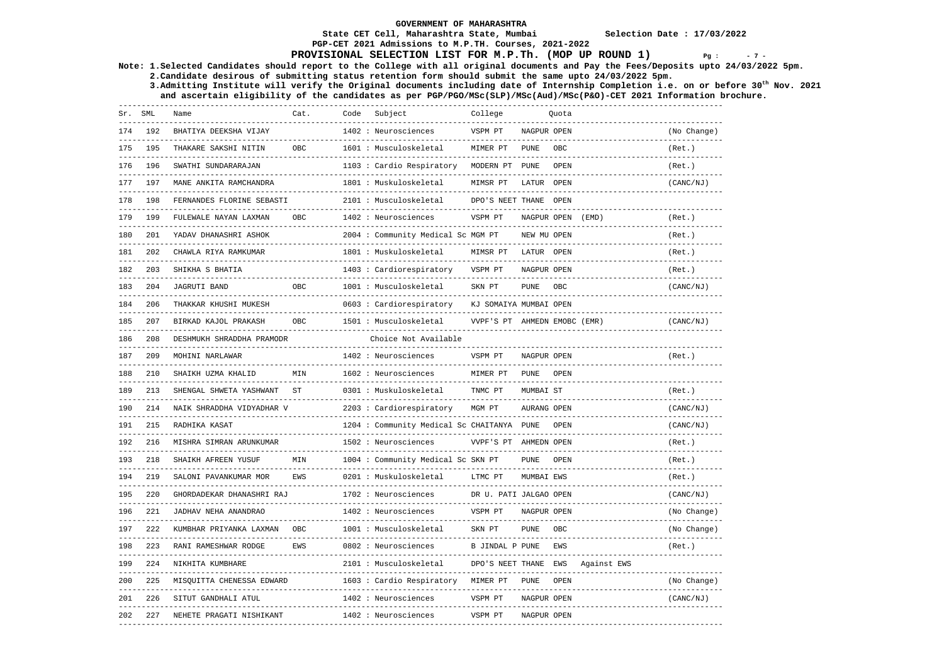## **PGP-CET 2021 Admissions to M.P.TH. Courses, 2021-2022**

### **PROVISIONAL SELECTION LIST FOR M.P.Th. (MOP UP ROUND 1)**  $Pg : 27 - 19$

**Note: 1.Selected Candidates should report to the College with all original documents and Pay the Fees/Deposits upto 24/03/2022 5pm. 2.Candidate desirous of submitting status retention form should submit the same upto 24/03/2022 5pm.** 

 **3.Admitting Institute will verify the Original documents including date of Internship Completion i.e. on or before 30th Nov. 2021 and ascertain eligibility of the candidates as per PGP/PGO/MSc(SLP)/MSc(Aud)/MSc(P&O)-CET 2021 Information brochure.** 

| Sr. | SML | Name                      | Cat.       | Code | Subject                                    | College                |                    | Ouota |             |               |
|-----|-----|---------------------------|------------|------|--------------------------------------------|------------------------|--------------------|-------|-------------|---------------|
| 174 | 192 | BHATIYA DEEKSHA VIJAY     |            |      | 1402 : Neurosciences                       | VSPM PT                | NAGPUR OPEN        |       |             | (No Change)   |
| 175 | 195 | THAKARE SAKSHI NITIN      | OBC        |      | 1601 : Musculoskeletal                     | MIMER PT               | <b>PUNE</b>        | OBC   |             | (Ret.)        |
| 176 | 196 | SWATHI SUNDARARAJAN       |            |      | 1103 : Cardio Respiratory                  | MODERN PT              | PUNE               | OPEN  |             | (Ret.)        |
| 177 | 197 | MANE ANKITA RAMCHANDRA    |            |      | 1801 : Muskuloskeletal                     | MIMSR PT               | LATUR              | OPEN  |             | (CANC/NJ)     |
| 178 | 198 | FERNANDES FLORINE SEBASTI |            |      | 2101 : Musculoskeletal                     | DPO'S NEET THANE OPEN  |                    |       |             |               |
| 179 | 199 | FULEWALE NAYAN LAXMAN     | OBC        |      | 1402 : Neurosciences                       | VSPM PT                | NAGPUR OPEN        |       | (EMD)       | (Ret.)        |
| 180 | 201 | YADAV DHANASHRI ASHOK     |            |      | 2004 : Community Medical Sc MGM PT         |                        | NEW MU OPEN        |       |             | (Ret.)        |
| 181 | 202 | CHAWLA RIYA RAMKUMAR      |            |      | 1801 : Muskuloskeletal                     | MIMSR PT               | LATUR              | OPEN  |             | (Ret.)        |
| 182 | 203 | SHIKHA S BHATIA           |            |      | 1403 : Cardiorespiratory                   | VSPM PT                | NAGPUR OPEN        |       |             | (Ret.)        |
| 183 | 204 | <b>JAGRUTI BAND</b>       | <b>OBC</b> |      | 1001 : Musculoskeletal                     | SKN PT                 | <b>PUNE</b>        | OBC   |             | (CANC/NJ)     |
| 184 | 206 | THAKKAR KHUSHI MUKESH     |            |      | 0603 : Cardiorespiratory                   | KJ SOMAIYA MUMBAI OPEN |                    |       |             |               |
| 185 | 207 | BIRKAD KAJOL PRAKASH      | OBC:       |      | 1501 : Musculoskeletal                     | VVPF'S PT              | AHMEDN EMOBC (EMR) |       |             | (CANC/NJ)     |
| 186 | 208 | DESHMUKH SHRADDHA PRAMODR |            |      | Choice Not Available                       |                        |                    |       |             |               |
| 187 | 209 | MOHINI NARLAWAR           |            |      | 1402 : Neurosciences                       | VSPM PT                | NAGPUR OPEN        |       |             | (Ret.)        |
| 188 | 210 | SHAIKH UZMA KHALID        | MIN        |      | 1602 : Neurosciences                       | MIMER PT               | <b>PUNE</b>        | OPEN  |             |               |
| 189 | 213 | SHENGAL SHWETA YASHWANT   | <b>ST</b>  |      | 0301 : Muskuloskeletal                     | TNMC PT                | MUMBAI ST          |       |             | (Ret.)        |
| 190 | 214 | NAIK SHRADDHA VIDYADHAR V |            |      | 2203 : Cardiorespiratory                   | MGM PT                 | AURANG OPEN        |       |             | (CANC/NJ)     |
| 191 | 215 | RADHIKA KASAT             |            |      | 1204 : Community Medical Sc CHAITANYA PUNE |                        |                    | OPEN  |             | (CANC/NJ)     |
| 192 | 216 | MISHRA SIMRAN ARUNKUMAR   |            |      | 1502 : Neurosciences                       | VVPF'S PT AHMEDN OPEN  |                    |       |             | (Ret.)        |
| 193 | 218 | SHAIKH AFREEN YUSUF       | MIN        |      | 1004 : Community Medical Sc SKN PT         |                        | <b>PUNE</b>        | OPEN  |             | (Ret.)        |
| 194 | 219 | SALONI PAVANKUMAR MOR     | EWS        |      | 0201 : Muskuloskeletal                     | LTMC PT                | MUMBAI EWS         |       |             | (Ret.)        |
| 195 | 220 | GHORDADEKAR DHANASHRI RAJ |            |      | 1702 : Neurosciences                       | DR U. PATI JALGAO OPEN |                    |       |             | (CANC/NJ)     |
| 196 | 221 | JADHAV NEHA ANANDRAO      |            |      | 1402 : Neurosciences                       | VSPM PT                | NAGPUR OPEN        |       |             | (No Change)   |
| 197 | 222 | KUMBHAR PRIYANKA LAXMAN   | OBC        |      | 1001 : Musculoskeletal                     | SKN PT                 | <b>PUNE</b>        | OBC   |             | (No Change)   |
| 198 | 223 | RANI RAMESHWAR RODGE      | EWS        |      | 0802 : Neurosciences                       | B JINDAL P PUNE        |                    | EWS   |             | (Ret.)        |
| 199 | 224 | NIKHITA KUMBHARE          |            |      | 2101 : Musculoskeletal                     | DPO'S NEET THANE       |                    | EWS   | Against EWS | $- - - - - -$ |
| 200 | 225 | MISOUITTA CHENESSA EDWARD |            |      | 1603 : Cardio Respiratory                  | MIMER PT               | <b>PUNE</b>        | OPEN  |             | (No Change)   |
| 201 | 226 | SITUT GANDHALI ATUL       |            |      | 1402 : Neurosciences                       | VSPM PT                | NAGPUR OPEN        |       |             | (CANC/NJ)     |
| 202 | 227 | NEHETE PRAGATI NISHIKANT  |            |      | 1402 : Neurosciences                       | VSPM PT                | NAGPUR OPEN        |       |             |               |
|     |     |                           |            |      |                                            |                        |                    |       |             |               |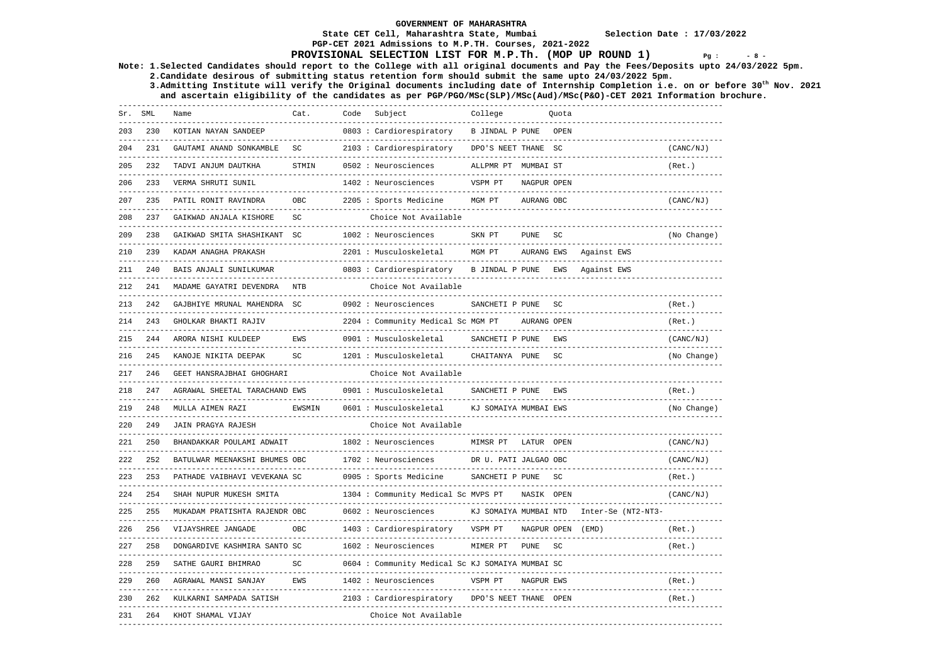### **State CET Cell, Maharashtra State, Mumbai Selection Date : 17/03/2022 PGP-CET 2021 Admissions to M.P.TH. Courses, 2021-2022**

## **PROVISIONAL SELECTION LIST FOR M.P.Th. (MOP UP ROUND 1)**  $Pg : S = S - S$

**Note: 1.Selected Candidates should report to the College with all original documents and Pay the Fees/Deposits upto 24/03/2022 5pm.** 

 **2.Candidate desirous of submitting status retention form should submit the same upto 24/03/2022 5pm. 3.Admitting Institute will verify the Original documents including date of Internship Completion i.e. on or before 30th Nov. 2021 and ascertain eligibility of the candidates as per PGP/PGO/MSc(SLP)/MSc(Aud)/MSc(P&O)-CET 2021 Information brochure.** 

|     | Sr. SML | Name                                                         | Cat.       | Code | Subject                                             | College               |                   | Ouota               |                                   |             |
|-----|---------|--------------------------------------------------------------|------------|------|-----------------------------------------------------|-----------------------|-------------------|---------------------|-----------------------------------|-------------|
| 203 | 230     | KOTIAN NAYAN SANDEEP                                         |            |      | 0803 : Cardiorespiratory                            | B JINDAL P PUNE       |                   | OPEN                |                                   |             |
| 204 | 231     | GAUTAMI ANAND SONKAMBLE                                      | SC         |      | 2103 : Cardiorespiratory                            | DPO'S NEET THANE SC   |                   |                     |                                   | (CANC/NJ)   |
| 205 | 232     | TADVI ANJUM DAUTKHA<br>------------------------------------- | STMIN      |      | 0502 : Neurosciences                                | ALLPMR PT MUMBAI ST   |                   |                     |                                   | (Ret.)      |
| 206 | 233     | VERMA SHRUTI SUNIL<br>---------------------------            |            |      | 1402 : Neurosciences                                | VSPM PT               | NAGPUR OPEN       |                     |                                   |             |
| 207 | 235     | PATIL RONIT RAVINDRA<br>-------------------------            | <b>OBC</b> |      | 2205 : Sports Medicine                              | MGM PT                | AURANG OBC        |                     |                                   | (CANC/NJ)   |
| 208 | 237     | GAIKWAD ANJALA KISHORE                                       | SC         |      | Choice Not Available                                |                       |                   |                     |                                   |             |
| 209 | 238     | GAIKWAD SMITA SHASHIKANT SC                                  |            |      | 1002 : Neurosciences                                | SKN PT                | <b>PUNE</b>       | SC                  |                                   | (No Change) |
| 210 | 239     | KADAM ANAGHA PRAKASH                                         |            |      | 2201 : Musculoskeletal                              | MGM PT                | AURANG EWS        |                     | Against EWS                       |             |
| 211 | 240     | BAIS ANJALI SUNILKUMAR                                       |            |      | 0803: Cardiorespiratory                             | B JINDAL P PUNE       |                   | EWS                 | Against EWS                       |             |
| 212 | 241     | MADAME GAYATRI DEVENDRA                                      | <b>NTB</b> |      | Choice Not Available                                |                       |                   |                     |                                   |             |
| 213 | 242     | GAJBHIYE MRUNAL MAHENDRA SC                                  |            |      | 0902 : Neurosciences                                | SANCHETI P PUNE       |                   | $\operatorname{SC}$ |                                   | (Ret.)      |
| 214 | 243     | GHOLKAR BHAKTI RAJIV                                         |            |      | 2204 : Community Medical Sc MGM PT                  |                       | AURANG OPEN       |                     |                                   | (Ret.)      |
| 215 | 244     | ARORA NISHI KULDEEP<br>----------------                      | EWS        |      | 0901 : Musculoskeletal                              | SANCHETI P PUNE       |                   | EWS                 |                                   | (CANC/NJ)   |
| 216 | 245     | KANOJE NIKITA DEEPAK                                         | SC         |      | 1201 : Musculoskeletal                              | CHAITANYA PUNE        |                   | $\operatorname{SC}$ |                                   | (No Change) |
| 217 | 246     | GEET HANSRAJBHAI GHOGHARI                                    |            |      | Choice Not Available                                |                       |                   |                     |                                   |             |
| 218 | 247     | AGRAWAL SHEETAL TARACHAND EWS                                |            |      | 0901 : Musculoskeletal                              | SANCHETI P PUNE       |                   | EWS                 | -------------------------------   | (Ret.)      |
| 219 | 248     | MULLA AIMEN RAZI                                             | EWSMIN     |      | 0601 : Musculoskeletal                              | KJ SOMAIYA MUMBAI EWS |                   |                     |                                   | (No Change) |
| 220 | 249     | JAIN PRAGYA RAJESH                                           |            |      | Choice Not Available                                |                       |                   |                     |                                   |             |
| 221 | 250     | BHANDAKKAR POULAMI ADWAIT                                    |            |      | 1802 : Neurosciences<br>--------------------------- | MIMSR PT              | LATUR OPEN        |                     |                                   | (CANC/NJ)   |
| 222 | 252     | BATULWAR MEENAKSHI BHUMES OBC                                |            |      | 1702 : Neurosciences                                | DR U. PATI JALGAO OBC |                   |                     |                                   | (CANC/NJ)   |
| 223 | 253     | PATHADE VAIBHAVI VEVEKANA SC                                 |            |      | 0905 : Sports Medicine                              | SANCHETI P PUNE       |                   | SC                  |                                   | (Ret.)      |
| 224 | 254     | SHAH NUPUR MUKESH SMITA                                      |            |      | 1304 : Community Medical Sc MVPS PT                 |                       | NASIK OPEN        |                     |                                   | (CANC/NJ)   |
| 225 | 255     | MUKADAM PRATISHTA RAJENDR OBC                                |            |      | 0602 : Neurosciences                                | KJ SOMAIYA MUMBAI NTD |                   |                     | Inter-Se (NT2-NT3-                |             |
| 226 | 256     | VIJAYSHREE JANGADE                                           | OBC.       |      | 1403 : Cardiorespiratory                            | VSPM PT               | NAGPUR OPEN (EMD) |                     | --------------------------------- | (Ret.)      |
| 227 | 258     | DONGARDIVE KASHMIRA SANTO SC                                 |            |      | 1602 : Neurosciences                                | MIMER PT              | PUNE SC           |                     |                                   | (Ret.)      |
| 228 | 259     | SATHE GAURI BHIMRAO                                          | SC         |      | 0604 : Community Medical Sc KJ SOMAIYA MUMBAI SC    |                       |                   |                     |                                   |             |
| 229 | 260     | AGRAWAL MANSI SANJAY                                         | EWS        |      | 1402 : Neurosciences                                | VSPM PT               | NAGPUR EWS        |                     |                                   | (Ret.)      |
| 230 | 262     | KULKARNI SAMPADA SATISH                                      |            |      | 2103 : Cardiorespiratory                            | DPO'S NEET THANE OPEN |                   |                     |                                   | (Ret.)      |
| 231 | 264     | KHOT SHAMAL VIJAY                                            |            |      | Choice Not Available                                |                       |                   |                     |                                   |             |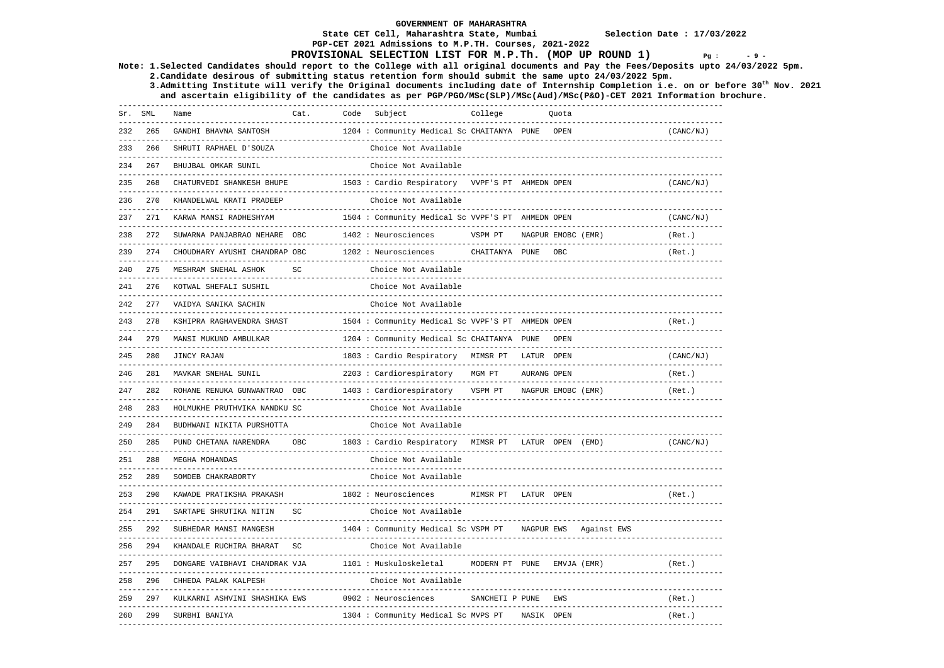**PGP-CET 2021 Admissions to M.P.TH. Courses, 2021-2022** 

### **State CET Cell, Maharashtra State, Mumbai Selection Date : 17/03/2022**

# **PROVISIONAL SELECTION LIST FOR M.P.Th. (MOP UP ROUND 1)**  $Pg : P = 9 - 8$

**Note: 1.Selected Candidates should report to the College with all original documents and Pay the Fees/Deposits upto 24/03/2022 5pm.** 

 **2.Candidate desirous of submitting status retention form should submit the same upto 24/03/2022 5pm. 3.Admitting Institute will verify the Original documents including date of Internship Completion i.e. on or before 30th Nov. 2021** 

 **and ascertain eligibility of the candidates as per PGP/PGO/MSc(SLP)/MSc(Aud)/MSc(P&O)-CET 2021 Information brochure.** 

| . <u>_ _ _ _ _ _ _ _ _ _ _ _</u> _ .<br>265<br>1204 : Community Medical Sc CHAITANYA PUNE<br>232<br>GANDHI BHAVNA SANTOSH<br>OPEN<br>(CANC/NJ)<br>----------<br>233<br>266<br>SHRUTI RAPHAEL D'SOUZA<br>Choice Not Available<br>267<br>BHUJBAL OMKAR SUNIL<br>Choice Not Available<br>234<br>----------<br>268<br>CHATURVEDI SHANKESH BHUPE<br>1503 : Cardio Respiratory VVPF'S PT AHMEDN OPEN<br>235<br>(CANC/NJ)<br>270<br>KHANDELWAL KRATI PRADEEP<br>Choice Not Available<br>236<br>----------------------------<br>271<br>1504 : Community Medical Sc VVPF'S PT AHMEDN OPEN<br>(CANC/NJ)<br>237<br>KARWA MANSI RADHESHYAM<br>----------------------<br>SUWARNA PANJABRAO NEHARE OBC<br>272<br>1402 : Neurosciences<br>VSPM PT<br>NAGPUR EMOBC (EMR)<br>238<br>(Ret.)<br>----------------------<br>CHOUDHARY AYUSHI CHANDRAP OBC<br>1202 : Neurosciences<br>239<br>274<br>CHAITANYA PUNE<br>OBC<br>(Ret.)<br>$\operatorname{SC}$<br>275<br>Choice Not Available<br>240<br>MESHRAM SNEHAL ASHOK<br>276<br>KOTWAL SHEFALI SUSHIL<br>Choice Not Available<br>VAIDYA SANIKA SACHIN<br>Choice Not Available<br>277<br>242<br>278<br>1504 : Community Medical Sc VVPF'S PT AHMEDN OPEN<br>243<br>KSHIPRA RAGHAVENDRA SHAST<br>(Ret.)<br>279<br>MANSI MUKUND AMBULKAR<br>1204 : Community Medical Sc CHAITANYA PUNE<br>OPEN<br>244<br>280<br>JINCY RAJAN<br>1803 : Cardio Respiratory MIMSR PT LATUR OPEN<br>(CANC/NJ)<br>245<br>---------------------------<br>2203 : Cardiorespiratory<br>281<br>MAVKAR SNEHAL SUNIL<br>MGM PT<br>AURANG OPEN<br>(Ret.)<br>246<br>282<br>ROHANE RENUKA GUNWANTRAO OBC<br>1403 : Cardiorespiratory<br>VSPM PT<br>247<br>NAGPUR EMOBC (EMR)<br>(Ret.)<br>-----------------------------------<br>283<br>HOLMUKHE PRUTHVIKA NANDKU SC<br>Choice Not Available<br>248<br>--------------------------------<br>284<br>Choice Not Available<br>249<br>BUDHWANI NIKITA PURSHOTTA<br>285<br><b>OBC</b><br>250<br>PUND CHETANA NARENDRA<br>1803 : Cardio Respiratory MIMSR PT<br>LATUR OPEN (EMD)<br>(CANC/NJ)<br>288<br>MEGHA MOHANDAS<br>Choice Not Available<br>251<br>289<br>252<br>SOMDEB CHAKRABORTY<br>Choice Not Available<br>290<br>253<br>KAWADE PRATIKSHA PRAKASH<br>1802 : Neurosciences<br>MIMSR PT<br>LATUR OPEN<br>(Ret.)<br>254<br>291<br>SARTAPE SHRUTIKA NITIN<br>SC<br>Choice Not Available<br>292<br>255<br>SUBHEDAR MANSI MANGESH<br>1404 : Community Medical Sc VSPM PT<br>NAGPUR EWS Against EWS<br>SC<br>256<br>294<br>KHANDALE RUCHIRA BHARAT<br>Choice Not Available<br>257<br>295<br>1101 : Muskuloskeletal<br>MODERN PT PUNE<br>DONGARE VAIBHAVI CHANDRAK VJA<br>EMVJA (EMR)<br>(Ret.)<br>296<br>Choice Not Available<br>258<br>CHHEDA PALAK KALPESH<br>------------------------<br>259<br>297<br>KULKARNI ASHVINI SHASHIKA EWS<br>0902 : Neurosciences<br>SANCHETI P PUNE<br>EWS<br>(Ret.)<br>260<br>299<br>1304 : Community Medical Sc MVPS PT<br>NASIK OPEN<br>SURBHI BANIYA<br>(Ret.) | Sr. SML | --------- | Name | Cat. | Code | Subject<br>------------------ | College | Quota |  |
|-------------------------------------------------------------------------------------------------------------------------------------------------------------------------------------------------------------------------------------------------------------------------------------------------------------------------------------------------------------------------------------------------------------------------------------------------------------------------------------------------------------------------------------------------------------------------------------------------------------------------------------------------------------------------------------------------------------------------------------------------------------------------------------------------------------------------------------------------------------------------------------------------------------------------------------------------------------------------------------------------------------------------------------------------------------------------------------------------------------------------------------------------------------------------------------------------------------------------------------------------------------------------------------------------------------------------------------------------------------------------------------------------------------------------------------------------------------------------------------------------------------------------------------------------------------------------------------------------------------------------------------------------------------------------------------------------------------------------------------------------------------------------------------------------------------------------------------------------------------------------------------------------------------------------------------------------------------------------------------------------------------------------------------------------------------------------------------------------------------------------------------------------------------------------------------------------------------------------------------------------------------------------------------------------------------------------------------------------------------------------------------------------------------------------------------------------------------------------------------------------------------------------------------------------------------------------------------------------------------------------------------------------------------------------------------------------------------------------------------------------------------------------------------------------------------------------------------------------------------------------------------------------------------------------------------------|---------|-----------|------|------|------|-------------------------------|---------|-------|--|
|                                                                                                                                                                                                                                                                                                                                                                                                                                                                                                                                                                                                                                                                                                                                                                                                                                                                                                                                                                                                                                                                                                                                                                                                                                                                                                                                                                                                                                                                                                                                                                                                                                                                                                                                                                                                                                                                                                                                                                                                                                                                                                                                                                                                                                                                                                                                                                                                                                                                                                                                                                                                                                                                                                                                                                                                                                                                                                                                           |         |           |      |      |      |                               |         |       |  |
|                                                                                                                                                                                                                                                                                                                                                                                                                                                                                                                                                                                                                                                                                                                                                                                                                                                                                                                                                                                                                                                                                                                                                                                                                                                                                                                                                                                                                                                                                                                                                                                                                                                                                                                                                                                                                                                                                                                                                                                                                                                                                                                                                                                                                                                                                                                                                                                                                                                                                                                                                                                                                                                                                                                                                                                                                                                                                                                                           |         |           |      |      |      |                               |         |       |  |
|                                                                                                                                                                                                                                                                                                                                                                                                                                                                                                                                                                                                                                                                                                                                                                                                                                                                                                                                                                                                                                                                                                                                                                                                                                                                                                                                                                                                                                                                                                                                                                                                                                                                                                                                                                                                                                                                                                                                                                                                                                                                                                                                                                                                                                                                                                                                                                                                                                                                                                                                                                                                                                                                                                                                                                                                                                                                                                                                           |         |           |      |      |      |                               |         |       |  |
|                                                                                                                                                                                                                                                                                                                                                                                                                                                                                                                                                                                                                                                                                                                                                                                                                                                                                                                                                                                                                                                                                                                                                                                                                                                                                                                                                                                                                                                                                                                                                                                                                                                                                                                                                                                                                                                                                                                                                                                                                                                                                                                                                                                                                                                                                                                                                                                                                                                                                                                                                                                                                                                                                                                                                                                                                                                                                                                                           |         |           |      |      |      |                               |         |       |  |
|                                                                                                                                                                                                                                                                                                                                                                                                                                                                                                                                                                                                                                                                                                                                                                                                                                                                                                                                                                                                                                                                                                                                                                                                                                                                                                                                                                                                                                                                                                                                                                                                                                                                                                                                                                                                                                                                                                                                                                                                                                                                                                                                                                                                                                                                                                                                                                                                                                                                                                                                                                                                                                                                                                                                                                                                                                                                                                                                           |         |           |      |      |      |                               |         |       |  |
|                                                                                                                                                                                                                                                                                                                                                                                                                                                                                                                                                                                                                                                                                                                                                                                                                                                                                                                                                                                                                                                                                                                                                                                                                                                                                                                                                                                                                                                                                                                                                                                                                                                                                                                                                                                                                                                                                                                                                                                                                                                                                                                                                                                                                                                                                                                                                                                                                                                                                                                                                                                                                                                                                                                                                                                                                                                                                                                                           |         |           |      |      |      |                               |         |       |  |
|                                                                                                                                                                                                                                                                                                                                                                                                                                                                                                                                                                                                                                                                                                                                                                                                                                                                                                                                                                                                                                                                                                                                                                                                                                                                                                                                                                                                                                                                                                                                                                                                                                                                                                                                                                                                                                                                                                                                                                                                                                                                                                                                                                                                                                                                                                                                                                                                                                                                                                                                                                                                                                                                                                                                                                                                                                                                                                                                           |         |           |      |      |      |                               |         |       |  |
|                                                                                                                                                                                                                                                                                                                                                                                                                                                                                                                                                                                                                                                                                                                                                                                                                                                                                                                                                                                                                                                                                                                                                                                                                                                                                                                                                                                                                                                                                                                                                                                                                                                                                                                                                                                                                                                                                                                                                                                                                                                                                                                                                                                                                                                                                                                                                                                                                                                                                                                                                                                                                                                                                                                                                                                                                                                                                                                                           |         |           |      |      |      |                               |         |       |  |
|                                                                                                                                                                                                                                                                                                                                                                                                                                                                                                                                                                                                                                                                                                                                                                                                                                                                                                                                                                                                                                                                                                                                                                                                                                                                                                                                                                                                                                                                                                                                                                                                                                                                                                                                                                                                                                                                                                                                                                                                                                                                                                                                                                                                                                                                                                                                                                                                                                                                                                                                                                                                                                                                                                                                                                                                                                                                                                                                           |         |           |      |      |      |                               |         |       |  |
|                                                                                                                                                                                                                                                                                                                                                                                                                                                                                                                                                                                                                                                                                                                                                                                                                                                                                                                                                                                                                                                                                                                                                                                                                                                                                                                                                                                                                                                                                                                                                                                                                                                                                                                                                                                                                                                                                                                                                                                                                                                                                                                                                                                                                                                                                                                                                                                                                                                                                                                                                                                                                                                                                                                                                                                                                                                                                                                                           |         |           |      |      |      |                               |         |       |  |
|                                                                                                                                                                                                                                                                                                                                                                                                                                                                                                                                                                                                                                                                                                                                                                                                                                                                                                                                                                                                                                                                                                                                                                                                                                                                                                                                                                                                                                                                                                                                                                                                                                                                                                                                                                                                                                                                                                                                                                                                                                                                                                                                                                                                                                                                                                                                                                                                                                                                                                                                                                                                                                                                                                                                                                                                                                                                                                                                           |         |           |      |      |      |                               |         |       |  |
|                                                                                                                                                                                                                                                                                                                                                                                                                                                                                                                                                                                                                                                                                                                                                                                                                                                                                                                                                                                                                                                                                                                                                                                                                                                                                                                                                                                                                                                                                                                                                                                                                                                                                                                                                                                                                                                                                                                                                                                                                                                                                                                                                                                                                                                                                                                                                                                                                                                                                                                                                                                                                                                                                                                                                                                                                                                                                                                                           |         |           |      |      |      |                               |         |       |  |
|                                                                                                                                                                                                                                                                                                                                                                                                                                                                                                                                                                                                                                                                                                                                                                                                                                                                                                                                                                                                                                                                                                                                                                                                                                                                                                                                                                                                                                                                                                                                                                                                                                                                                                                                                                                                                                                                                                                                                                                                                                                                                                                                                                                                                                                                                                                                                                                                                                                                                                                                                                                                                                                                                                                                                                                                                                                                                                                                           |         |           |      |      |      |                               |         |       |  |
|                                                                                                                                                                                                                                                                                                                                                                                                                                                                                                                                                                                                                                                                                                                                                                                                                                                                                                                                                                                                                                                                                                                                                                                                                                                                                                                                                                                                                                                                                                                                                                                                                                                                                                                                                                                                                                                                                                                                                                                                                                                                                                                                                                                                                                                                                                                                                                                                                                                                                                                                                                                                                                                                                                                                                                                                                                                                                                                                           |         |           |      |      |      |                               |         |       |  |
|                                                                                                                                                                                                                                                                                                                                                                                                                                                                                                                                                                                                                                                                                                                                                                                                                                                                                                                                                                                                                                                                                                                                                                                                                                                                                                                                                                                                                                                                                                                                                                                                                                                                                                                                                                                                                                                                                                                                                                                                                                                                                                                                                                                                                                                                                                                                                                                                                                                                                                                                                                                                                                                                                                                                                                                                                                                                                                                                           |         |           |      |      |      |                               |         |       |  |
|                                                                                                                                                                                                                                                                                                                                                                                                                                                                                                                                                                                                                                                                                                                                                                                                                                                                                                                                                                                                                                                                                                                                                                                                                                                                                                                                                                                                                                                                                                                                                                                                                                                                                                                                                                                                                                                                                                                                                                                                                                                                                                                                                                                                                                                                                                                                                                                                                                                                                                                                                                                                                                                                                                                                                                                                                                                                                                                                           |         |           |      |      |      |                               |         |       |  |
|                                                                                                                                                                                                                                                                                                                                                                                                                                                                                                                                                                                                                                                                                                                                                                                                                                                                                                                                                                                                                                                                                                                                                                                                                                                                                                                                                                                                                                                                                                                                                                                                                                                                                                                                                                                                                                                                                                                                                                                                                                                                                                                                                                                                                                                                                                                                                                                                                                                                                                                                                                                                                                                                                                                                                                                                                                                                                                                                           |         |           |      |      |      |                               |         |       |  |
|                                                                                                                                                                                                                                                                                                                                                                                                                                                                                                                                                                                                                                                                                                                                                                                                                                                                                                                                                                                                                                                                                                                                                                                                                                                                                                                                                                                                                                                                                                                                                                                                                                                                                                                                                                                                                                                                                                                                                                                                                                                                                                                                                                                                                                                                                                                                                                                                                                                                                                                                                                                                                                                                                                                                                                                                                                                                                                                                           |         |           |      |      |      |                               |         |       |  |
|                                                                                                                                                                                                                                                                                                                                                                                                                                                                                                                                                                                                                                                                                                                                                                                                                                                                                                                                                                                                                                                                                                                                                                                                                                                                                                                                                                                                                                                                                                                                                                                                                                                                                                                                                                                                                                                                                                                                                                                                                                                                                                                                                                                                                                                                                                                                                                                                                                                                                                                                                                                                                                                                                                                                                                                                                                                                                                                                           |         |           |      |      |      |                               |         |       |  |
|                                                                                                                                                                                                                                                                                                                                                                                                                                                                                                                                                                                                                                                                                                                                                                                                                                                                                                                                                                                                                                                                                                                                                                                                                                                                                                                                                                                                                                                                                                                                                                                                                                                                                                                                                                                                                                                                                                                                                                                                                                                                                                                                                                                                                                                                                                                                                                                                                                                                                                                                                                                                                                                                                                                                                                                                                                                                                                                                           |         |           |      |      |      |                               |         |       |  |
|                                                                                                                                                                                                                                                                                                                                                                                                                                                                                                                                                                                                                                                                                                                                                                                                                                                                                                                                                                                                                                                                                                                                                                                                                                                                                                                                                                                                                                                                                                                                                                                                                                                                                                                                                                                                                                                                                                                                                                                                                                                                                                                                                                                                                                                                                                                                                                                                                                                                                                                                                                                                                                                                                                                                                                                                                                                                                                                                           |         |           |      |      |      |                               |         |       |  |
|                                                                                                                                                                                                                                                                                                                                                                                                                                                                                                                                                                                                                                                                                                                                                                                                                                                                                                                                                                                                                                                                                                                                                                                                                                                                                                                                                                                                                                                                                                                                                                                                                                                                                                                                                                                                                                                                                                                                                                                                                                                                                                                                                                                                                                                                                                                                                                                                                                                                                                                                                                                                                                                                                                                                                                                                                                                                                                                                           |         |           |      |      |      |                               |         |       |  |
|                                                                                                                                                                                                                                                                                                                                                                                                                                                                                                                                                                                                                                                                                                                                                                                                                                                                                                                                                                                                                                                                                                                                                                                                                                                                                                                                                                                                                                                                                                                                                                                                                                                                                                                                                                                                                                                                                                                                                                                                                                                                                                                                                                                                                                                                                                                                                                                                                                                                                                                                                                                                                                                                                                                                                                                                                                                                                                                                           |         |           |      |      |      |                               |         |       |  |
|                                                                                                                                                                                                                                                                                                                                                                                                                                                                                                                                                                                                                                                                                                                                                                                                                                                                                                                                                                                                                                                                                                                                                                                                                                                                                                                                                                                                                                                                                                                                                                                                                                                                                                                                                                                                                                                                                                                                                                                                                                                                                                                                                                                                                                                                                                                                                                                                                                                                                                                                                                                                                                                                                                                                                                                                                                                                                                                                           |         |           |      |      |      |                               |         |       |  |
|                                                                                                                                                                                                                                                                                                                                                                                                                                                                                                                                                                                                                                                                                                                                                                                                                                                                                                                                                                                                                                                                                                                                                                                                                                                                                                                                                                                                                                                                                                                                                                                                                                                                                                                                                                                                                                                                                                                                                                                                                                                                                                                                                                                                                                                                                                                                                                                                                                                                                                                                                                                                                                                                                                                                                                                                                                                                                                                                           |         |           |      |      |      |                               |         |       |  |
|                                                                                                                                                                                                                                                                                                                                                                                                                                                                                                                                                                                                                                                                                                                                                                                                                                                                                                                                                                                                                                                                                                                                                                                                                                                                                                                                                                                                                                                                                                                                                                                                                                                                                                                                                                                                                                                                                                                                                                                                                                                                                                                                                                                                                                                                                                                                                                                                                                                                                                                                                                                                                                                                                                                                                                                                                                                                                                                                           |         |           |      |      |      |                               |         |       |  |
|                                                                                                                                                                                                                                                                                                                                                                                                                                                                                                                                                                                                                                                                                                                                                                                                                                                                                                                                                                                                                                                                                                                                                                                                                                                                                                                                                                                                                                                                                                                                                                                                                                                                                                                                                                                                                                                                                                                                                                                                                                                                                                                                                                                                                                                                                                                                                                                                                                                                                                                                                                                                                                                                                                                                                                                                                                                                                                                                           |         |           |      |      |      |                               |         |       |  |
|                                                                                                                                                                                                                                                                                                                                                                                                                                                                                                                                                                                                                                                                                                                                                                                                                                                                                                                                                                                                                                                                                                                                                                                                                                                                                                                                                                                                                                                                                                                                                                                                                                                                                                                                                                                                                                                                                                                                                                                                                                                                                                                                                                                                                                                                                                                                                                                                                                                                                                                                                                                                                                                                                                                                                                                                                                                                                                                                           |         |           |      |      |      |                               |         |       |  |
|                                                                                                                                                                                                                                                                                                                                                                                                                                                                                                                                                                                                                                                                                                                                                                                                                                                                                                                                                                                                                                                                                                                                                                                                                                                                                                                                                                                                                                                                                                                                                                                                                                                                                                                                                                                                                                                                                                                                                                                                                                                                                                                                                                                                                                                                                                                                                                                                                                                                                                                                                                                                                                                                                                                                                                                                                                                                                                                                           |         |           |      |      |      |                               |         |       |  |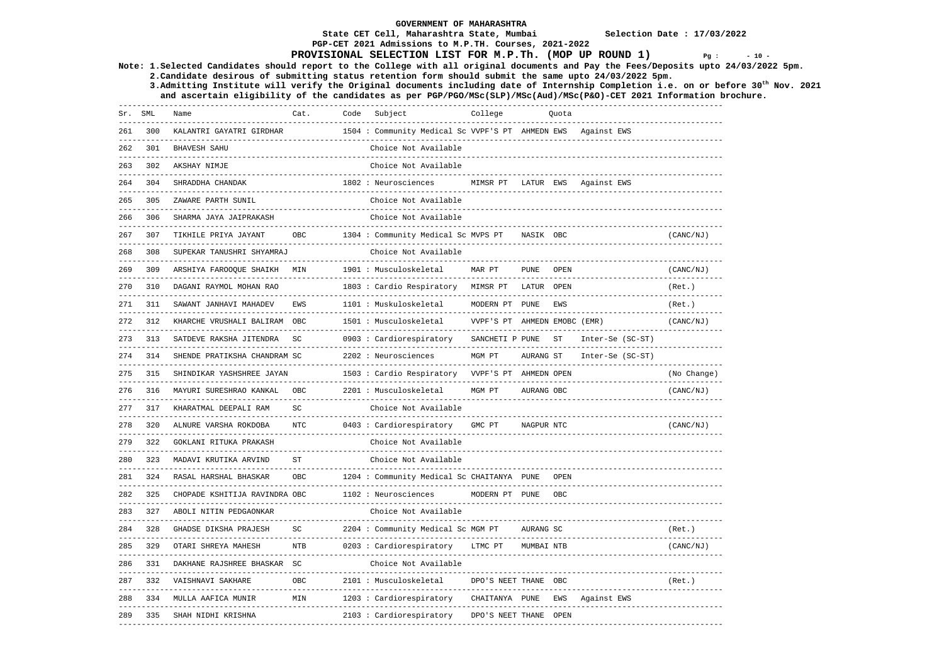**PGP-CET 2021 Admissions to M.P.TH. Courses, 2021-2022** 

### **State CET Cell, Maharashtra State, Mumbai Selection Date : 17/03/2022**

## **PROVISIONAL SELECTION LIST FOR M.P.Th. (MOP UP ROUND 1)**  $Pq : 10 - 10$

**Note: 1.Selected Candidates should report to the College with all original documents and Pay the Fees/Deposits upto 24/03/2022 5pm.** 

 **2.Candidate desirous of submitting status retention form should submit the same upto 24/03/2022 5pm. 3.Admitting Institute will verify the Original documents including date of Internship Completion i.e. on or before 30th Nov. 2021** 

 **and ascertain eligibility of the candidates as per PGP/PGO/MSc(SLP)/MSc(Aud)/MSc(P&O)-CET 2021 Information brochure.** 

| Sr. SML | ---------         | Name                                                               | Cat.<br>---------- | Code | Subject                                                                | College                             |             | Quota |                                              |                                 |
|---------|-------------------|--------------------------------------------------------------------|--------------------|------|------------------------------------------------------------------------|-------------------------------------|-------------|-------|----------------------------------------------|---------------------------------|
|         | 300               | KALANTRI GAYATRI GIRDHAR                                           |                    |      | 1504 : Community Medical Sc VVPF'S PT AHMEDN EWS                       |                                     |             |       | Against EWS                                  |                                 |
| 262     | 301               | <b>BHAVESH SAHU</b>                                                |                    |      | Choice Not Available                                                   |                                     |             |       |                                              |                                 |
| 263     | 302               | AKSHAY NIMJE<br>----------------------                             |                    |      | Choice Not Available                                                   |                                     |             |       |                                              |                                 |
| 264     | 304               | SHRADDHA CHANDAK                                                   |                    |      | 1802 : Neurosciences                                                   | MIMSR PT<br>____________________    | LATUR EWS   |       | Against EWS                                  |                                 |
| 265     | 305               | ZAWARE PARTH SUNIL                                                 |                    |      | Choice Not Available                                                   |                                     |             |       |                                              |                                 |
| 266     | 306               | SHARMA JAYA JAIPRAKASH<br>---------------------------              |                    |      | Choice Not Available                                                   |                                     |             |       |                                              |                                 |
| 267     | 307               | TIKHILE PRIYA JAYANT                                               | OBC                |      | 1304 : Community Medical Sc MVPS PT                                    |                                     | NASIK OBC   |       |                                              | (CANC/NJ)                       |
| 268     | 308               | SUPEKAR TANUSHRI SHYAMRAJ<br>------------------------------        |                    |      | Choice Not Available                                                   |                                     |             |       |                                              |                                 |
| 269     | 309               | ARSHIYA FAROOQUE SHAIKH<br>---------------------                   | MIN                |      | 1901 : Musculoskeletal                                                 | MAR PT                              | <b>PUNE</b> | OPEN  |                                              | (CANC/NJ)<br>------------------ |
| 270     | 310               | DAGANI RAYMOL MOHAN RAO<br>----------------------------            |                    |      | 1803 : Cardio Respiratory                                              | MIMSR PT                            | LATUR OPEN  |       |                                              | (Ret.)                          |
| 271     | 311               | SAWANT JANHAVI MAHADEV                                             | EWS                |      | 1101 : Muskuloskeletal                                                 | MODERN PT                           | PUNE        | EWS   |                                              | (Ret.)                          |
| 272     | 312               | KHARCHE VRUSHALI BALIRAM OBC<br>--------------------------         |                    |      | 1501 : Musculoskeletal                                                 | VVPF'S PT AHMEDN EMOBC (EMR)        |             |       |                                              | (CANC/NJ)                       |
| 273     | 313               | SATDEVE RAKSHA JITENDRA                                            | SC                 |      | 0903 : Cardiorespiratory                                               | SANCHETI P PUNE                     |             | ST    | Inter-Se (SC-ST)<br>------------------------ |                                 |
| 274     | 314               | SHENDE PRATIKSHA CHANDRAM SC                                       |                    |      | 2202 : Neurosciences                                                   | MGM PT                              | AURANG ST   |       | Inter-Se (SC-ST)                             |                                 |
| 275     | 315               | SHINDIKAR YASHSHREE JAYAN<br>------------------------------------- |                    |      | 1503 : Cardio Respiratory VVPF'S PT AHMEDN OPEN                        |                                     |             |       |                                              | (No Change)                     |
| 276     | 316<br>---------- | MAYURI SURESHRAO KANKAL                                            | OBC                |      | 2201 : Musculoskeletal                                                 | MGM PT                              | AURANG OBC  |       |                                              | (CANC/NJ)                       |
| 277     | 317               | KHARATMAL DEEPALI RAM<br>---------------------------------         | SC                 |      | Choice Not Available                                                   |                                     |             |       |                                              |                                 |
| 278     | 320               | ALNURE VARSHA ROKDOBA                                              | NTC                |      | 0403 : Cardiorespiratory                                               | GMC PT<br>_________________________ | NAGPUR NTC  |       |                                              | (CANC/NJ)                       |
| 279     | 322               | GOKLANI RITUKA PRAKASH                                             |                    |      | Choice Not Available                                                   |                                     |             |       |                                              |                                 |
| 280     | 323               | MADAVI KRUTIKA ARVIND                                              | <b>ST</b>          |      | Choice Not Available                                                   |                                     |             |       |                                              |                                 |
| 281     | 324               | RASAL HARSHAL BHASKAR<br>__________________                        | OBC                |      | 1204 : Community Medical Sc CHAITANYA PUNE<br>------------------------ |                                     |             | OPEN  |                                              |                                 |
| 282     | 325               | CHOPADE KSHITIJA RAVINDRA OBC                                      |                    |      | 1102 : Neurosciences<br>_____________________________                  | MODERN PT PUNE                      |             | OBC   |                                              |                                 |
| 283     | 327               | ABOLI NITIN PEDGAONKAR                                             |                    |      | Choice Not Available                                                   |                                     |             |       |                                              |                                 |
| 284     | 328               | <b>GHADSE DIKSHA PRAJESH</b><br>___________________                | SC                 |      | 2204 : Community Medical Sc MGM PT                                     |                                     | AURANG SC   |       |                                              | (Ret.)                          |
| 285     | 329               | OTARI SHREYA MAHESH<br>_________________                           | <b>NTB</b>         |      | 0203 : Cardiorespiratory                                               | LTMC PT                             | MUMBAI NTB  |       |                                              | (CANC/NJ)                       |
| 286     | 331               | DAKHANE RAJSHREE BHASKAR                                           | <b>SC</b>          |      | Choice Not Available                                                   |                                     |             |       |                                              |                                 |
| 287     | 332               | VAISHNAVI SAKHARE                                                  | <b>OBC</b>         |      | 2101 : Musculoskeletal                                                 | DPO'S NEET THANE OBC                |             |       |                                              | (Ret.)                          |
| 288     | 334               | MULLA AAFICA MUNIR                                                 | MIN                |      | 1203 : Cardiorespiratory                                               | CHAITANYA PUNE                      |             | EWS   | Against EWS                                  |                                 |
| 289     | 335               | SHAH NIDHI KRISHNA                                                 |                    |      | 2103 : Cardiorespiratory                                               | DPO'S NEET THANE OPEN               |             |       |                                              |                                 |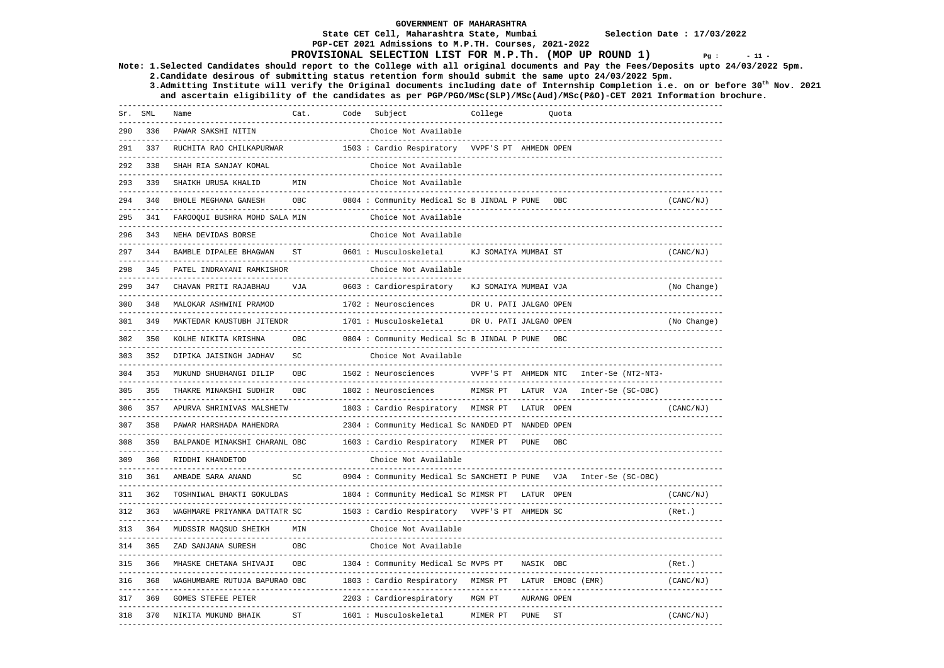**State CET Cell, Maharashtra State, Mumbai Selection Date : 17/03/2022 PGP-CET 2021 Admissions to M.P.TH. Courses, 2021-2022** 

### **PROVISIONAL SELECTION LIST FOR M.P.Th. (MOP UP ROUND 1)**  $Pq : 11 - 12$

**Note: 1.Selected Candidates should report to the College with all original documents and Pay the Fees/Deposits upto 24/03/2022 5pm.** 

 **2.Candidate desirous of submitting status retention form should submit the same upto 24/03/2022 5pm. 3.Admitting Institute will verify the Original documents including date of Internship Completion i.e. on or before 30th Nov. 2021** 

 **and ascertain eligibility of the candidates as per PGP/PGO/MSc(SLP)/MSc(Aud)/MSc(P&O)-CET 2021 Information brochure.** 

|     | Sr. SML             | Name                                                               | Cat.       | Code Subject<br>------------------------------------              | College                             |             | Quota     |                          |                    |             |
|-----|---------------------|--------------------------------------------------------------------|------------|-------------------------------------------------------------------|-------------------------------------|-------------|-----------|--------------------------|--------------------|-------------|
| 290 | 336                 | PAWAR SAKSHI NITIN                                                 |            | Choice Not Available                                              |                                     |             |           |                          |                    |             |
| 291 | 337                 | RUCHITA RAO CHILKAPURWAR                                           |            | 1503 : Cardio Respiratory VVPF'S PT AHMEDN OPEN                   |                                     |             |           |                          |                    |             |
| 292 | 338                 | SHAH RIA SANJAY KOMAL<br>__________________________                |            | Choice Not Available                                              |                                     |             |           |                          |                    |             |
| 293 | 339                 | SHAIKH URUSA KHALID<br>-----------------                           | MTN        | Choice Not Available                                              |                                     |             |           |                          |                    |             |
| 294 | 340                 | BHOLE MEGHANA GANESH                                               | <b>OBC</b> | 0804 : Community Medical Sc B JINDAL P PUNE                       |                                     |             | OBC       |                          |                    | (CANC/NJ)   |
| 295 | 341                 | FAROOQUI BUSHRA MOHD SALA MIN                                      |            | Choice Not Available                                              |                                     |             |           |                          |                    |             |
| 296 | 343                 | NEHA DEVIDAS BORSE<br>--------------------------                   |            | Choice Not Available<br>-----------------------------------       | ----------------------------------- |             |           |                          |                    |             |
| 297 | 344                 | BAMBLE DIPALEE BHAGWAN                                             | ST         | 0601 : Musculoskeletal                                            | KJ SOMAIYA MUMBAI ST                |             |           |                          |                    | (CANC/NJ)   |
| 298 | 345                 | PATEL INDRAYANI RAMKISHOR                                          |            | Choice Not Available                                              |                                     |             |           |                          |                    |             |
| 299 | 347                 | CHAVAN PRITI RAJABHAU                                              | VJA        | 0603 : Cardiorespiratory                                          | KJ SOMAIYA MUMBAI VJA               |             |           |                          |                    | (No Change) |
| 300 | 348                 | MALOKAR ASHWINI PRAMOD                                             |            | 1702 : Neurosciences<br>------------------------                  | DR U. PATI JALGAO OPEN              |             |           |                          |                    |             |
| 301 | ----------<br>349   | -------------------------<br>MAKTEDAR KAUSTUBH JITENDR             |            | 1701 : Musculoskeletal                                            | DR U. PATI JALGAO OPEN              |             |           |                          |                    | (No Change) |
| 302 | 350                 | -------------------------<br>KOLHE NIKITA KRISHNA                  | OBC        | 0804 : Community Medical Sc B JINDAL P PUNE                       |                                     |             | OBC       |                          |                    |             |
| 303 | ------------<br>352 | DIPIKA JAISINGH JADHAV                                             | SC         | Choice Not Available                                              |                                     |             |           |                          |                    |             |
| 304 | 353                 | MUKUND SHUBHANGI DILIP                                             | OBC        | 1502 : Neurosciences                                              | VVPF'S PT AHMEDN NTC                |             |           |                          | Inter-Se (NT2-NT3- |             |
|     | 355                 | --------------------------------<br>THAKRE MINAKSHI SUDHIR         | OBC        | ------------------------------<br>1802 : Neurosciences            | MIMSR PT                            | LATUR VJA   |           |                          | Inter-Se (SC-OBC)  |             |
| 306 | 357                 | APURVA SHRINIVAS MALSHETW                                          |            | 1803 : Cardio Respiratory MIMSR PT LATUR OPEN                     |                                     |             |           |                          |                    | (CANC/NJ)   |
|     | 358                 | PAWAR HARSHADA MAHENDRA                                            |            | 2304 : Community Medical Sc NANDED PT NANDED OPEN                 |                                     |             |           |                          |                    |             |
| 308 | 359                 | BALPANDE MINAKSHI CHARANL OBC                                      |            | 1603 : Cardio Respiratory MIMER PT                                |                                     | PUNE        | OBC       | ------------------------ |                    |             |
| 309 | 360                 | RIDDHI KHANDETOD                                                   |            | Choice Not Available                                              |                                     |             |           |                          |                    |             |
| 310 | 361                 | AMBADE SARA ANAND                                                  | SC         | 0904 : Community Medical Sc SANCHETI P PUNE VJA Inter-Se (SC-OBC) |                                     |             |           |                          |                    |             |
| 311 | 362                 | ________________________________<br>TOSHNIWAL BHAKTI GOKULDAS      |            | 1804 : Community Medical Sc MIMSR PT LATUR OPEN                   |                                     |             |           |                          |                    | (CANC/NJ)   |
| 312 | 363                 | WAGHMARE PRIYANKA DATTATR SC                                       |            | 1503 : Cardio Respiratory VVPF'S PT AHMEDN SC                     |                                     |             |           |                          |                    | (Ret.)      |
| 313 | 364                 | MUDSSIR MAQSUD SHEIKH                                              | MIN        | Choice Not Available                                              |                                     |             |           |                          |                    |             |
| 314 | 365                 | ZAD SANJANA SURESH                                                 | OBC        | Choice Not Available                                              |                                     |             |           |                          |                    |             |
| 315 | 366                 | MHASKE CHETANA SHIVAJI                                             | OBC        | 1304 : Community Medical Sc MVPS PT                               |                                     | NASIK OBC   |           |                          |                    | (Ret.)      |
| 316 | 368                 | WAGHUMBARE RUTUJA BAPURAO OBC                                      |            | 1803 : Cardio Respiratory MIMSR PT LATUR EMOBC (EMR)              |                                     |             |           |                          |                    | (CANC/NJ)   |
| 317 | 369                 | _____________________________________<br><b>GOMES STEFEE PETER</b> |            | 2203 : Cardiorespiratory                                          | MGM PT                              | AURANG OPEN |           |                          |                    |             |
| 318 | 370                 | NIKITA MUKUND BHAIK                                                | <b>ST</b>  | 1601 : Musculoskeletal                                            | MIMER PT                            | <b>PUNE</b> | <b>ST</b> |                          |                    | (CANC/NJ)   |
|     |                     |                                                                    |            |                                                                   |                                     |             |           |                          |                    |             |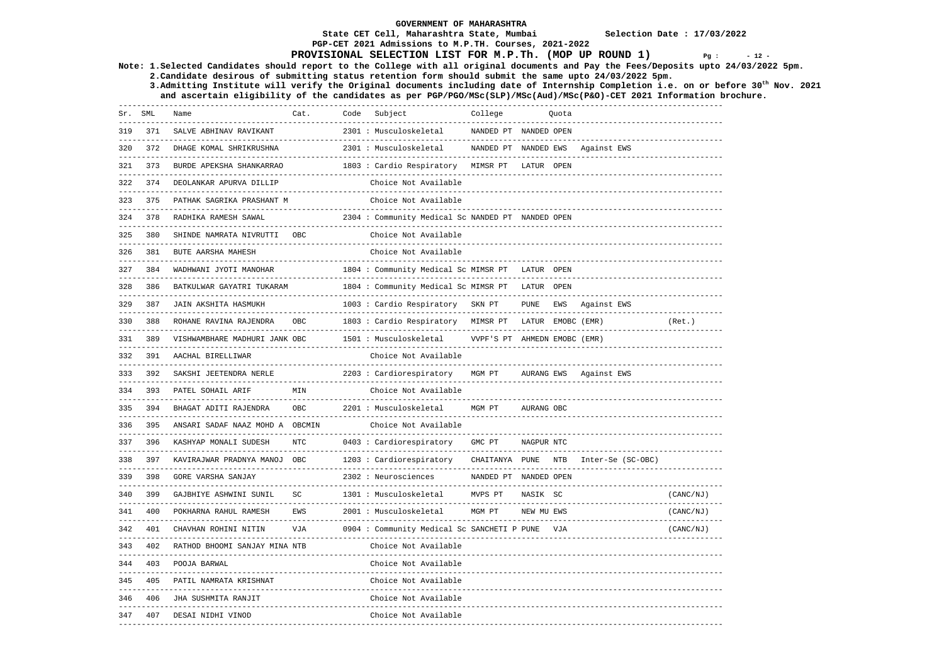## **PGP-CET 2021 Admissions to M.P.TH. Courses, 2021-2022 PROVISIONAL SELECTION LIST FOR M.P.Th. (MOP UP ROUND 1)**  $Pq : 12 - 12$

**Note: 1.Selected Candidates should report to the College with all original documents and Pay the Fees/Deposits upto 24/03/2022 5pm.** 

 **2.Candidate desirous of submitting status retention form should submit the same upto 24/03/2022 5pm.** 

 **3.Admitting Institute will verify the Original documents including date of Internship Completion i.e. on or before 30th Nov. 2021 and ascertain eligibility of the candidates as per PGP/PGO/MSc(SLP)/MSc(Aud)/MSc(P&O)-CET 2021 Information brochure.** 

| Sr. | SML | Name                            | Cat.       | Code | Subject                                           | College                      |                   | Quota |                        |                            |
|-----|-----|---------------------------------|------------|------|---------------------------------------------------|------------------------------|-------------------|-------|------------------------|----------------------------|
| 319 | 371 | SALVE ABHINAV RAVIKANT          |            |      | 2301 : Musculoskeletal                            | NANDED PT NANDED OPEN        |                   |       |                        |                            |
| 320 | 372 | DHAGE KOMAL SHRIKRUSHNA         |            |      | 2301 : Musculoskeletal                            | NANDED PT NANDED EWS         |                   |       | Against EWS            |                            |
| 321 | 373 | BURDE APEKSHA SHANKARRAO        |            |      | 1803 : Cardio Respiratory MIMSR PT LATUR OPEN     |                              |                   |       |                        |                            |
| 322 | 374 | DEOLANKAR APURVA DILLIP         |            |      | Choice Not Available                              |                              |                   |       |                        |                            |
| 323 | 375 | PATHAK SAGRIKA PRASHANT M       |            |      | Choice Not Available                              |                              |                   |       |                        |                            |
| 324 | 378 | RADHIKA RAMESH SAWAL            |            |      | 2304 : Community Medical Sc NANDED PT NANDED OPEN |                              |                   |       |                        |                            |
| 325 | 380 | SHINDE NAMRATA NIVRUTTI OBC     |            |      | Choice Not Available                              |                              |                   |       |                        |                            |
| 326 | 381 | BUTE AARSHA MAHESH              |            |      | Choice Not Available                              |                              |                   |       |                        |                            |
| 327 | 384 | WADHWANI JYOTI MANOHAR          |            |      | 1804 : Community Medical Sc MIMSR PT LATUR OPEN   |                              |                   |       |                        |                            |
| 328 | 386 | BATKULWAR GAYATRI TUKARAM       |            |      | 1804 : Community Medical Sc MIMSR PT              |                              | LATUR OPEN        |       |                        |                            |
| 329 | 387 | JAIN AKSHITA HASMUKH            |            |      | 1003 : Cardio Respiratory SKN PT                  |                              |                   |       | PUNE EWS Against EWS   |                            |
| 330 | 388 | ROHANE RAVINA RAJENDRA          | OBC        |      | 1803 : Cardio Respiratory MIMSR PT                |                              | LATUR EMOBC (EMR) |       |                        | (Ret.)                     |
| 331 | 389 | VISHWAMBHARE MADHURI JANK OBC   |            |      | 1501 : Musculoskeletal                            | VVPF'S PT AHMEDN EMOBC (EMR) |                   |       |                        |                            |
| 332 | 391 | AACHAL BIRELLIWAR               |            |      | Choice Not Available                              |                              |                   |       |                        |                            |
| 333 | 392 | SAKSHI JEETENDRA NERLE          |            |      | 2203 : Cardiorespiratory MGM PT                   |                              |                   |       | AURANG EWS Against EWS |                            |
| 334 | 393 | PATEL SOHAIL ARIF               | MTN        |      | Choice Not Available                              |                              |                   |       |                        |                            |
| 335 |     | 394 BHAGAT ADITI RAJENDRA       | <b>OBC</b> |      | 2201 : Musculoskeletal                            | MGM PT                       | AURANG OBC        |       |                        |                            |
| 336 | 395 | ANSARI SADAF NAAZ MOHD A OBCMIN |            |      | Choice Not Available                              |                              |                   |       |                        |                            |
| 337 | 396 | KASHYAP MONALI SUDESH           | <b>NTC</b> |      | 0403 : Cardiorespiratory                          | GMC PT                       | NAGPUR NTC        |       |                        |                            |
| 338 | 397 | KAVIRAJWAR PRADNYA MANOJ OBC    |            |      | 1203 : Cardiorespiratory                          | CHAITANYA PUNE NTB           |                   |       | Inter-Se (SC-OBC)      |                            |
| 339 | 398 | <b>GORE VARSHA SANJAY</b>       |            |      | 2302 : Neurosciences                              | NANDED PT NANDED OPEN        |                   |       |                        |                            |
| 340 | 399 | GAJBHIYE ASHWINI SUNIL          | SC         |      | 1301 : Musculoskeletal                            | MVPS PT                      | NASIK SC          |       |                        | -------------<br>(CANC/NJ) |
| 341 | 400 | POKHARNA RAHUL RAMESH           | EWS        |      | 2001 : Musculoskeletal                            | MGM PT                       | NEW MU EWS        |       |                        | (CANC/NJ)                  |
| 342 | 401 | CHAVHAN ROHINI NITIN            | VJA        |      | 0904 : Community Medical Sc SANCHETI P PUNE       |                              |                   | VJA   |                        | (CANC/NJ)                  |
| 343 | 402 | RATHOD BHOOMI SANJAY MINA NTB   |            |      | Choice Not Available                              |                              |                   |       |                        |                            |
|     |     | 344 403 POOJA BARWAL            |            |      | Choice Not Available                              |                              |                   |       |                        |                            |
| 345 | 405 | PATIL NAMRATA KRISHNAT          |            |      | Choice Not Available<br>----------------------    |                              |                   |       |                        |                            |
| 346 | 406 | JHA SUSHMITA RANJIT             |            |      | Choice Not Available                              |                              |                   |       |                        |                            |
| 347 | 407 | DESAI NIDHI VINOD               |            |      | Choice Not Available<br>------------------        |                              |                   |       |                        |                            |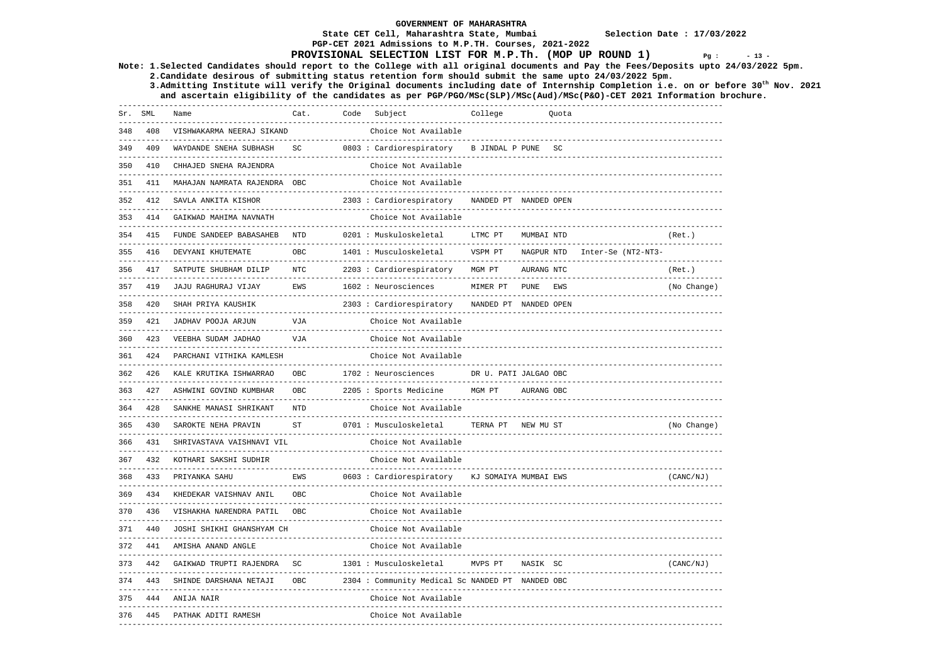**State CET Cell, Maharashtra State, Mumbai Selection Date : 17/03/2022 PGP-CET 2021 Admissions to M.P.TH. Courses, 2021-2022** 

### **PROVISIONAL SELECTION LIST FOR M.P.Th. (MOP UP ROUND 1)**  $Pq : 13 - 14$

**Note: 1.Selected Candidates should report to the College with all original documents and Pay the Fees/Deposits upto 24/03/2022 5pm.** 

 **2.Candidate desirous of submitting status retention form should submit the same upto 24/03/2022 5pm. 3.Admitting Institute will verify the Original documents including date of Internship Completion i.e. on or before 30th Nov. 2021** 

 **and ascertain eligibility of the candidates as per PGP/PGO/MSc(SLP)/MSc(Aud)/MSc(P&O)-CET 2021 Information brochure.** 

|     | -----------------<br>Sr. SML | Name                         | Cat.       | Code | Subject                                          | College               |            | Quota |                    |             |
|-----|------------------------------|------------------------------|------------|------|--------------------------------------------------|-----------------------|------------|-------|--------------------|-------------|
| 348 | 408                          | VISHWAKARMA NEERAJ SIKAND    |            |      | Choice Not Available                             |                       |            |       |                    |             |
| 349 | 409                          | WAYDANDE SNEHA SUBHASH       | SC         |      | 0803 : Cardiorespiratory B JINDAL P PUNE         |                       |            | SC    |                    |             |
| 350 | 410<br>------------          | CHHAJED SNEHA RAJENDRA       |            |      | Choice Not Available                             |                       |            |       |                    |             |
| 351 | 411                          | MAHAJAN NAMRATA RAJENDRA OBC |            |      | Choice Not Available                             |                       |            |       |                    |             |
| 352 | 412                          | SAVLA ANKITA KISHOR          |            |      | 2303 : Cardiorespiratory                         | NANDED PT NANDED OPEN |            |       |                    |             |
| 353 | 414                          | GAIKWAD MAHIMA NAVNATH       |            |      | Choice Not Available                             |                       |            |       |                    |             |
| 354 | 415                          | FUNDE SANDEEP BABASAHEB NTD  |            |      | 0201 : Muskuloskeletal                           | LTMC PT               | MUMBAI NTD |       |                    | (Ret.)      |
| 355 | 416                          | DEVYANI KHUTEMATE            | OBC        |      | 1401 : Musculoskeletal                           | VSPM PT               | NAGPUR NTD |       | Inter-Se (NT2-NT3- |             |
|     | 356 417                      | SATPUTE SHUBHAM DILIP        | <b>NTC</b> |      | 2203 : Cardiorespiratory                         | MGM PT                | AURANG NTC |       |                    | (Ret.)      |
|     | 357 419                      | JAJU RAGHURAJ VIJAY          | EWS        |      | 1602 : Neurosciences                             | MIMER PT PUNE         |            | EWS   |                    | (No Change) |
| 358 | 420                          | SHAH PRIYA KAUSHIK           |            |      | 2303 : Cardiorespiratory                         | NANDED PT NANDED OPEN |            |       |                    |             |
| 359 | 421                          | JADHAV POOJA ARJUN           | VJA        |      | Choice Not Available                             |                       |            |       |                    |             |
| 360 | 423                          | VEEBHA SUDAM JADHAO          | VJA        |      | Choice Not Available                             |                       |            |       |                    |             |
| 361 | 424                          | PARCHANI VITHIKA KAMLESH     |            |      | Choice Not Available                             |                       |            |       |                    |             |
|     | 362 426                      | KALE KRUTIKA ISHWARRAO       | OBC        |      | 1702 : Neurosciences                             | DR U. PATI JALGAO OBC |            |       |                    |             |
|     | 363 427                      | ASHWINI GOVIND KUMBHAR       | OBC        |      | 2205 : Sports Medicine                           | MGM PT                | AURANG OBC |       |                    |             |
| 364 | 428                          | SANKHE MANASI SHRIKANT       | <b>NTD</b> |      | Choice Not Available                             |                       |            |       |                    |             |
| 365 | 430                          | SAROKTE NEHA PRAVIN          | ST         |      | 0701 : Musculoskeletal                           | TERNA PT NEW MU ST    |            |       |                    | (No Change) |
| 366 | 431                          | SHRIVASTAVA VAISHNAVI VIL    |            |      | Choice Not Available                             |                       |            |       |                    |             |
| 367 | 432                          | KOTHARI SAKSHI SUDHIR        |            |      | Choice Not Available                             |                       |            |       |                    |             |
|     | 368 433                      | PRIYANKA SAHU                | EWS        |      | 0603 : Cardiorespiratory KJ SOMAIYA MUMBAI EWS   |                       |            |       |                    | (CANC/NJ)   |
|     | 369 434                      | KHEDEKAR VAISHNAV ANIL       | <b>OBC</b> |      | Choice Not Available                             |                       |            |       |                    |             |
| 370 | 436                          | VISHAKHA NARENDRA PATIL OBC  |            |      | Choice Not Available                             |                       |            |       |                    |             |
| 371 | 440                          | JOSHI SHIKHI GHANSHYAM CH    |            |      | Choice Not Available                             |                       |            |       |                    |             |
| 372 | 441                          | AMISHA ANAND ANGLE           |            |      | Choice Not Available                             |                       |            |       |                    |             |
| 373 | 442                          | GAIKWAD TRUPTI RAJENDRA SC   |            |      | 1301 : Musculoskeletal                           | MVPS PT               | NASIK SC   |       |                    | (CANC/NJ)   |
| 374 | 443                          | SHINDE DARSHANA NETAJI       | OBC        |      | 2304 : Community Medical Sc NANDED PT NANDED OBC |                       |            |       |                    |             |
| 375 | 444                          | ANIJA NAIR                   |            |      | Choice Not Available                             |                       |            |       |                    |             |
| 376 | 445                          | PATHAK ADITI RAMESH          |            |      | Choice Not Available                             |                       |            |       |                    |             |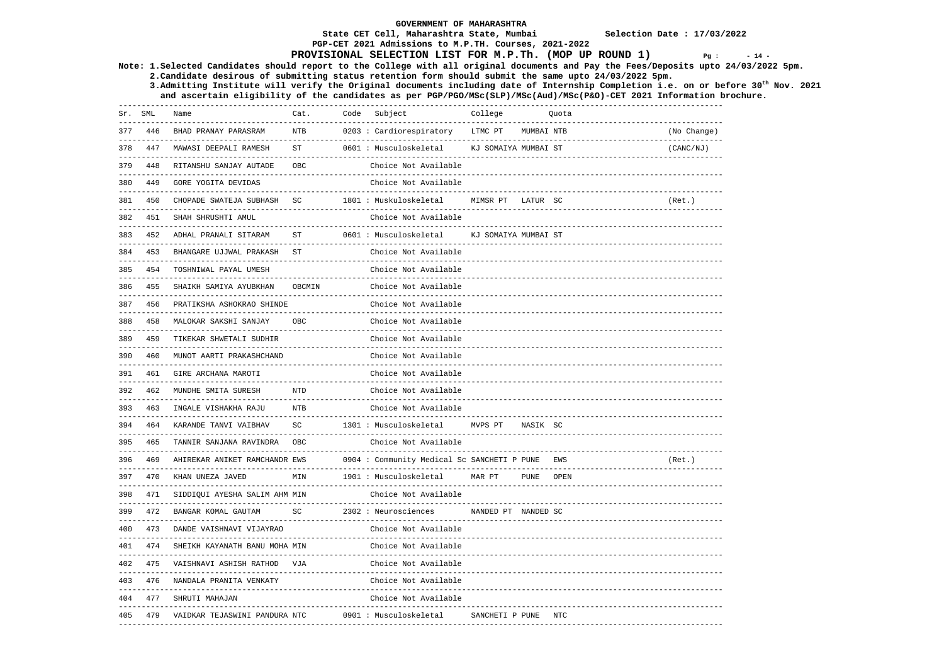### **State CET Cell, Maharashtra State, Mumbai Selection Date : 17/03/2022 PGP-CET 2021 Admissions to M.P.TH. Courses, 2021-2022**

## **PROVISIONAL SELECTION LIST FOR M.P.Th. (MOP UP ROUND 1)**  $Pq : 14 - 14$

**Note: 1.Selected Candidates should report to the College with all original documents and Pay the Fees/Deposits upto 24/03/2022 5pm.** 

 **2.Candidate desirous of submitting status retention form should submit the same upto 24/03/2022 5pm.** 

 **3.Admitting Institute will verify the Original documents including date of Internship Completion i.e. on or before 30th Nov. 2021 and ascertain eligibility of the candidates as per PGP/PGO/MSc(SLP)/MSc(Aud)/MSc(P&O)-CET 2021 Information brochure.** 

|     | Sr. SML | Name<br>--------------------------------------                         | Cat.           | Code Subject                                                                  | College              |             | Quota<br>-------------------------------- |             |
|-----|---------|------------------------------------------------------------------------|----------------|-------------------------------------------------------------------------------|----------------------|-------------|-------------------------------------------|-------------|
| 377 | 446     | BHAD PRANAY PARASRAM<br>--------------------------------               | <b>NTB</b>     | -----------------------------------<br>0203 : Cardiorespiratory               | LTMC PT              | MUMBAI NTB  |                                           | (No Change) |
| 378 | 447     | MAWASI DEEPALI RAMESH                                                  | <b>ST</b>      | --------------------------------<br>0601 : Musculoskeletal                    | KJ SOMAIYA MUMBAI ST |             |                                           | (CANC/NJ)   |
|     | 379 448 | RITANSHU SANJAY AUTADE                                                 | OBC            | Choice Not Available                                                          |                      |             |                                           |             |
|     |         | 380 449 GORE YOGITA DEVIDAS                                            |                | Choice Not Available                                                          |                      |             |                                           |             |
|     | 381 450 | CHOPADE SWATEJA SUBHASH SC                                             |                | 1801 : Muskuloskeletal                                                        | MIMSR PT LATUR SC    |             |                                           | (Ret.)      |
|     | 382 451 | SHAH SHRUSHTI AMUL                                                     |                | Choice Not Available                                                          |                      |             |                                           |             |
|     | 383 452 | ADHAL PRANALI SITARAM                                                  | <b>ST</b>      | 0601 : Musculoskeletal                                                        | KJ SOMAIYA MUMBAI ST |             |                                           |             |
|     |         | 384 453 BHANGARE UJJWAL PRAKASH ST                                     |                | Choice Not Available                                                          |                      |             |                                           |             |
|     | 385 454 | TOSHNIWAL PAYAL UMESH                                                  |                | Choice Not Available                                                          |                      |             |                                           |             |
|     | 386 455 | SHAIKH SAMIYA AYUBKHAN                                                 | OBCMIN         | Choice Not Available                                                          |                      |             |                                           |             |
|     |         | 387 456 PRATIKSHA ASHOKRAO SHINDE                                      |                | Choice Not Available                                                          |                      |             |                                           |             |
|     |         | 388 458 MALOKAR SAKSHI SANJAY                                          | OBC            | Choice Not Available                                                          |                      |             |                                           |             |
|     |         | 389 459 TIKEKAR SHWETALI SUDHIR                                        |                | Choice Not Available                                                          |                      |             |                                           |             |
|     |         | 390 460 MUNOT AARTI PRAKASHCHAND                                       |                | Choice Not Available                                                          |                      |             |                                           |             |
|     |         | 391 461 GIRE ARCHANA MAROTI                                            |                | Choice Not Available                                                          |                      |             |                                           |             |
|     |         | 392 462 MUNDHE SMITA SURESH                                            | <b>NTD</b>     | Choice Not Available                                                          |                      |             |                                           |             |
|     |         | 393 463 INGALE VISHAKHA RAJU                                           | <b>NTB</b>     | Choice Not Available                                                          |                      |             |                                           |             |
|     |         | 394 464 KARANDE TANVI VAIBHAV                                          | SC             | 1301 : Musculoskeletal                                                        | MVPS PT              | NASIK SC    |                                           |             |
|     |         | 395 465 TANNIR SANJANA RAVINDRA                                        | OBC            | Choice Not Available                                                          |                      |             |                                           |             |
|     | 396 469 | AHIREKAR ANIKET RAMCHANDR EWS<br>------------------------------------- |                | 0904 : Community Medical Sc SANCHETI P PUNE<br>------------------------------ |                      |             | EWS<br>----------------                   | (Ret.)      |
|     |         | 397 470 KHAN UNEZA JAVED                                               | $\texttt{MIN}$ | 1901 : Musculoskeletal                                                        | MAR PT               | <b>PUNE</b> | OPEN                                      |             |
|     | 398 471 | SIDDIQUI AYESHA SALIM AHM MIN<br>----------------------------          |                | Choice Not Available                                                          |                      |             |                                           |             |
|     |         | 399 472 BANGAR KOMAL GAUTAM                                            | SC             | 2302 : Neurosciences MANDED PT NANDED SC                                      |                      |             |                                           |             |
|     |         | 400 473 DANDE VAISHNAVI VIJAYRAO                                       |                | Choice Not Available                                                          |                      |             |                                           |             |
|     |         | 401 474 SHEIKH KAYANATH BANU MOHA MIN                                  |                | Choice Not Available                                                          |                      |             |                                           |             |
|     |         | 402 475 VAISHNAVI ASHISH RATHOD VJA                                    |                | Choice Not Available                                                          |                      |             |                                           |             |
|     |         | 403 476 NANDALA PRANITA VENKATY                                        |                | Choice Not Available                                                          |                      |             |                                           |             |
| 404 | 477     | SHRUTI MAHAJAN                                                         |                | Choice Not Available                                                          |                      |             |                                           |             |
|     |         | 405 479 VAIDKAR TEJASWINI PANDURA NTC                                  |                | 0901 : Musculoskeletal                                                        | SANCHETI P PUNE      |             | NTC                                       |             |
|     |         |                                                                        |                |                                                                               |                      |             |                                           |             |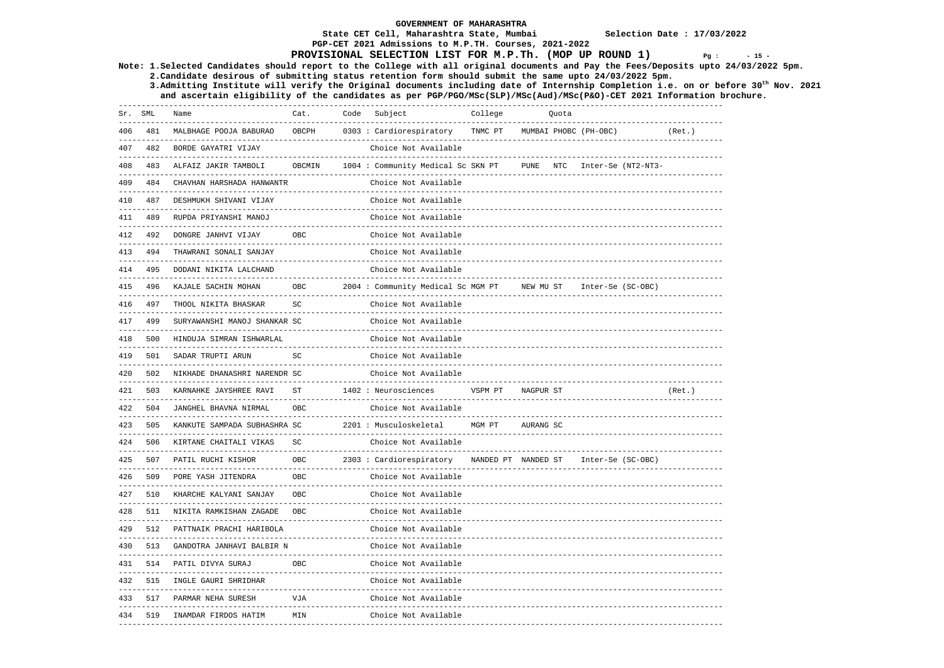### **State CET Cell, Maharashtra State, Mumbai Selection Date : 17/03/2022**

## **PGP-CET 2021 Admissions to M.P.TH. Courses, 2021-2022 PROVISIONAL SELECTION LIST FOR M.P.Th. (MOP UP ROUND 1)**  $Pq : 15 - 15$

**Note: 1.Selected Candidates should report to the College with all original documents and Pay the Fees/Deposits upto 24/03/2022 5pm.** 

 **2.Candidate desirous of submitting status retention form should submit the same upto 24/03/2022 5pm.** 

 **3.Admitting Institute will verify the Original documents including date of Internship Completion i.e. on or before 30th Nov. 2021 and ascertain eligibility of the candidates as per PGP/PGO/MSc(SLP)/MSc(Aud)/MSc(P&O)-CET 2021 Information brochure.** 

| Sr. SML |         | Name                                                          | Cat.                    | Code | Subject                                                     | College             |           | Quota |                       |         |
|---------|---------|---------------------------------------------------------------|-------------------------|------|-------------------------------------------------------------|---------------------|-----------|-------|-----------------------|---------|
| 406     | 481     | MALBHAGE POOJA BABURAO                                        | OBCPH                   |      | 0303 : Cardiorespiratory                                    | TNMC PT             |           |       | MUMBAI PHOBC (PH-OBC) | (Ret. ) |
| 407     | 482     | BORDE GAYATRI VIJAY                                           |                         |      | Choice Not Available                                        |                     |           |       |                       |         |
| 408     | 483     | ALFAIZ JAKIR TAMBOLI                                          | OBCMIN                  |      | 1004 : Community Medical Sc SKN PT                          |                     | PUNE      | NTC   | Inter-Se (NT2-NT3-    |         |
| 409     | 484     | CHAVHAN HARSHADA HANWANTR                                     |                         |      | Choice Not Available                                        |                     |           |       |                       |         |
| 410     | 487     | DESHMUKH SHIVANI VIJAY                                        |                         |      | Choice Not Available                                        |                     |           |       |                       |         |
| 411     | 489     | RUPDA PRIYANSHI MANOJ                                         |                         |      | Choice Not Available                                        |                     |           |       |                       |         |
| 412     | 492     | DONGRE JANHVI VIJAY                                           | OBC                     |      | Choice Not Available                                        |                     |           |       |                       |         |
| 413     | 494     | THAWRANI SONALI SANJAY                                        |                         |      | Choice Not Available                                        |                     |           |       |                       |         |
| 414     | 495     | DODANI NIKITA LALCHAND                                        |                         |      | Choice Not Available<br>------------------------            |                     |           |       |                       |         |
| 415     | 496     | KAJALE SACHIN MOHAN<br>-----------------------------------    | OBC<br>------           |      | 2004: Community Medical Sc MGM PT                           |                     | NEW MU ST |       | Inter-Se (SC-OBC)     |         |
|         | 416 497 | THOOL NIKITA BHASKAR                                          | SC                      |      | Choice Not Available                                        |                     |           |       |                       |         |
| 417     | 499     | SURYAWANSHI MANOJ SHANKAR SC                                  |                         |      | Choice Not Available                                        |                     |           |       |                       |         |
| 418     | 500     | HINDUJA SIMRAN ISHWARLAL<br>--------------------------------- |                         |      | Choice Not Available                                        |                     |           |       |                       |         |
| 419     | 501     | SADAR TRUPTI ARUN<br>_____________________                    | SC                      |      | Choice Not Available                                        |                     |           |       |                       |         |
| 420     | 502     | NIKHADE DHANASHRI NARENDR SC                                  |                         |      | Choice Not Available                                        |                     |           |       |                       |         |
| 421     | 503     | KARNAHKE JAYSHREE RAVI                                        | <b>ST</b>               |      | 1402 : Neurosciences                                        | VSPM PT             | NAGPUR ST |       |                       | (Ret.)  |
| 422     | 504     | JANGHEL BHAVNA NIRMAL                                         | <b>OBC</b>              |      | Choice Not Available                                        |                     |           |       |                       |         |
| 423     | 505     | KANKUTE SAMPADA SUBHASHRA SC                                  |                         |      | 2201 : Musculoskeletal                                      | MGM PT              | AURANG SC |       |                       |         |
| 424     | 506     | KIRTANE CHAITALI VIKAS<br>----------------------------------- | SC                      |      | Choice Not Available                                        |                     |           |       |                       |         |
| 425     | 507     | PATIL RUCHI KISHOR                                            | <b>OBC</b>              |      | 2303 : Cardiorespiratory                                    | NANDED PT NANDED ST |           |       | Inter-Se (SC-OBC)     |         |
| 426     | 509     | PORE YASH JITENDRA                                            | <b>OBC</b>              |      | Choice Not Available<br>----------------------------------- |                     |           |       |                       |         |
| 427     | 510     | KHARCHE KALYANI SANJAY                                        | OBC<br>---------------- |      | Choice Not Available                                        |                     |           |       |                       |         |
| 428     | 511     | NIKITA RAMKISHAN ZAGADE                                       | <b>OBC</b>              |      | Choice Not Available<br>______________________________      |                     |           |       |                       |         |
| 429     | 512     | PATTNAIK PRACHI HARIBOLA                                      |                         |      |                                                             |                     |           |       |                       |         |
|         |         |                                                               |                         |      | Choice Not Available                                        |                     |           |       |                       |         |
| 430     | 513     | GANDOTRA JANHAVI BALBIR N                                     |                         |      | Choice Not Available                                        |                     |           |       |                       |         |
| 431     |         | 514 PATIL DIVYA SURAJ                                         | <b>OBC</b>              |      | Choice Not Available                                        |                     |           |       |                       |         |
| 432     | 515     | INGLE GAURI SHRIDHAR                                          |                         |      | Choice Not Available                                        |                     |           |       |                       |         |
| 433     | 517     | PARMAR NEHA SURESH<br>----------------------------------      | VJA                     |      | ---------------------<br>Choice Not Available               |                     |           |       |                       |         |